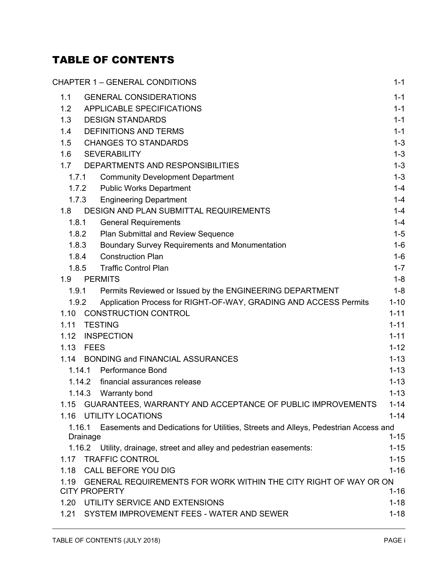# TABLE OF CONTENTS

| <b>CHAPTER 1 - GENERAL CONDITIONS</b>                                                                    | $1 - 1$  |
|----------------------------------------------------------------------------------------------------------|----------|
| <b>GENERAL CONSIDERATIONS</b><br>1.1                                                                     | $1 - 1$  |
| APPLICABLE SPECIFICATIONS<br>1.2                                                                         | $1 - 1$  |
| <b>DESIGN STANDARDS</b><br>1.3                                                                           | $1 - 1$  |
| <b>DEFINITIONS AND TERMS</b><br>1.4                                                                      | $1 - 1$  |
| <b>CHANGES TO STANDARDS</b><br>1.5                                                                       | $1 - 3$  |
| 1.6<br><b>SEVERABILITY</b>                                                                               | $1 - 3$  |
| DEPARTMENTS AND RESPONSIBILITIES<br>1.7                                                                  | $1 - 3$  |
| <b>Community Development Department</b><br>1.7.1                                                         | $1 - 3$  |
| 1.7.2<br><b>Public Works Department</b>                                                                  | $1 - 4$  |
| 1.7.3<br><b>Engineering Department</b>                                                                   | $1 - 4$  |
| DESIGN AND PLAN SUBMITTAL REQUIREMENTS<br>1.8                                                            | $1 - 4$  |
| 1.8.1<br><b>General Requirements</b>                                                                     | $1 - 4$  |
| 1.8.2<br>Plan Submittal and Review Sequence                                                              | $1 - 5$  |
| 1.8.3<br>Boundary Survey Requirements and Monumentation                                                  | $1-6$    |
| <b>Construction Plan</b><br>1.8.4                                                                        | $1-6$    |
| <b>Traffic Control Plan</b><br>1.8.5                                                                     | $1 - 7$  |
| <b>PERMITS</b><br>1.9                                                                                    | $1 - 8$  |
| 1.9.1<br>Permits Reviewed or Issued by the ENGINEERING DEPARTMENT                                        | $1 - 8$  |
| 1.9.2<br>Application Process for RIGHT-OF-WAY, GRADING AND ACCESS Permits                                | $1 - 10$ |
| <b>CONSTRUCTION CONTROL</b><br>1.10                                                                      | $1 - 11$ |
| <b>TESTING</b><br>1.11                                                                                   | $1 - 11$ |
| <b>INSPECTION</b><br>1.12                                                                                | $1 - 11$ |
| <b>FEES</b><br>1.13                                                                                      | $1 - 12$ |
| 1.14<br><b>BONDING and FINANCIAL ASSURANCES</b>                                                          | $1 - 13$ |
| <b>Performance Bond</b><br>1.14.1                                                                        | $1 - 13$ |
| financial assurances release<br>1.14.2                                                                   | $1 - 13$ |
| 1.14.3 Warranty bond                                                                                     | $1 - 13$ |
| 1.15<br>GUARANTEES, WARRANTY AND ACCEPTANCE OF PUBLIC IMPROVEMENTS                                       | $1 - 14$ |
| <b>UTILITY LOCATIONS</b><br>1.16                                                                         | $1 - 14$ |
| Easements and Dedications for Utilities, Streets and Alleys, Pedestrian Access and<br>1.16.1<br>Drainage | $1 - 15$ |
| 1.16.2 Utility, drainage, street and alley and pedestrian easements:                                     | $1 - 15$ |
| <b>TRAFFIC CONTROL</b><br>1.17                                                                           | $1 - 15$ |
| <b>CALL BEFORE YOU DIG</b><br>1.18                                                                       | $1 - 16$ |
| GENERAL REQUIREMENTS FOR WORK WITHIN THE CITY RIGHT OF WAY OR ON<br>1.19                                 |          |
| <b>CITY PROPERTY</b>                                                                                     | $1 - 16$ |
| 1.20<br>UTILITY SERVICE AND EXTENSIONS                                                                   | $1 - 18$ |
| SYSTEM IMPROVEMENT FEES - WATER AND SEWER<br>1.21                                                        | $1 - 18$ |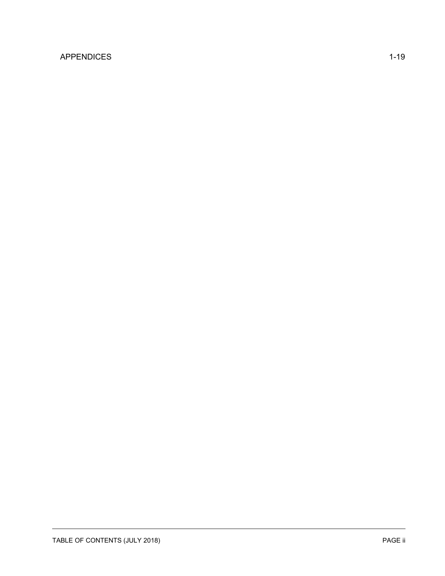## [APPENDICES](#page-20-0) 1-19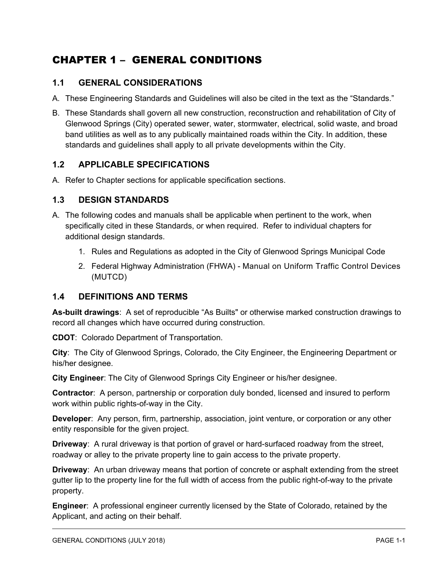# <span id="page-2-0"></span>CHAPTER 1 – GENERAL CONDITIONS

## <span id="page-2-1"></span>**1.1 GENERAL CONSIDERATIONS**

- A. These Engineering Standards and Guidelines will also be cited in the text as the "Standards."
- B. These Standards shall govern all new construction, reconstruction and rehabilitation of City of Glenwood Springs (City) operated sewer, water, stormwater, electrical, solid waste, and broad band utilities as well as to any publically maintained roads within the City. In addition, these standards and guidelines shall apply to all private developments within the City.

## <span id="page-2-2"></span>**1.2 APPLICABLE SPECIFICATIONS**

A. Refer to Chapter sections for applicable specification sections.

### <span id="page-2-3"></span>**1.3 DESIGN STANDARDS**

- A. The following codes and manuals shall be applicable when pertinent to the work, when specifically cited in these Standards, or when required. Refer to individual chapters for additional design standards.
	- 1. Rules and Regulations as adopted in the City of Glenwood Springs Municipal Code
	- 2. Federal Highway Administration (FHWA) Manual on Uniform Traffic Control Devices (MUTCD)

### <span id="page-2-4"></span>**1.4 DEFINITIONS AND TERMS**

**As-built drawings**: A set of reproducible "As Builts" or otherwise marked construction drawings to record all changes which have occurred during construction.

**CDOT**: Colorado Department of Transportation.

**City**: The City of Glenwood Springs, Colorado, the City Engineer, the Engineering Department or his/her designee.

**City Engineer**: The City of Glenwood Springs City Engineer or his/her designee.

**Contractor**: A person, partnership or corporation duly bonded, licensed and insured to perform work within public rights-of-way in the City.

**Developer**: Any person, firm, partnership, association, joint venture, or corporation or any other entity responsible for the given project.

**Driveway**: A rural driveway is that portion of gravel or hard-surfaced roadway from the street, roadway or alley to the private property line to gain access to the private property.

**Driveway**: An urban driveway means that portion of concrete or asphalt extending from the street gutter lip to the property line for the full width of access from the public right-of-way to the private property.

**Engineer**: A professional engineer currently licensed by the State of Colorado, retained by the Applicant, and acting on their behalf.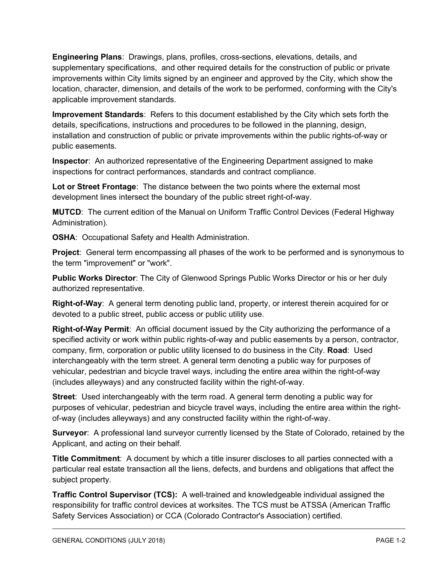**Engineering Plans**: Drawings, plans, profiles, cross-sections, elevations, details, and supplementary specifications, and other required details for the construction of public or private improvements within City limits signed by an engineer and approved by the City, which show the location, character, dimension, and details of the work to be performed, conforming with the City's applicable improvement standards.

**Improvement Standards**: Refers to this document established by the City which sets forth the details, specifications, instructions and procedures to be followed in the planning, design, installation and construction of public or private improvements within the public rights-of-way or public easements.

**Inspector**: An authorized representative of the Engineering Department assigned to make inspections for contract performances, standards and contract compliance.

**Lot or Street Frontage**: The distance between the two points where the external most development lines intersect the boundary of the public street right-of-way.

**MUTCD**: The current edition of the Manual on Uniform Traffic Control Devices (Federal Highway Administration).

**OSHA**: Occupational Safety and Health Administration.

**Project**: General term encompassing all phases of the work to be performed and is synonymous to the term "improvement" or "work".

**Public Works Director**: The City of Glenwood Springs Public Works Director or his or her duly authorized representative.

**Right-of-Way**: A general term denoting public land, property, or interest therein acquired for or devoted to a public street, public access or public utility use.

**Right-of-Way Permit**: An official document issued by the City authorizing the performance of a specified activity or work within public rights-of-way and public easements by a person, contractor, company, firm, corporation or public utility licensed to do business in the City. **Road**: Used interchangeably with the term street. A general term denoting a public way for purposes of vehicular, pedestrian and bicycle travel ways, including the entire area within the right-of-way (includes alleyways) and any constructed facility within the right-of-way.

**Street**: Used interchangeably with the term road. A general term denoting a public way for purposes of vehicular, pedestrian and bicycle travel ways, including the entire area within the rightof-way (includes alleyways) and any constructed facility within the right-of-way.

**Surveyor**: A professional land surveyor currently licensed by the State of Colorado, retained by the Applicant, and acting on their behalf.

**Title Commitment**: A document by which a title insurer discloses to all parties connected with a particular real estate transaction all the liens, defects, and burdens and obligations that affect the subject property.

**Traffic Control Supervisor (TCS):** A well-trained and knowledgeable individual assigned the responsibility for traffic control devices at worksites. The TCS must be ATSSA (American Traffic Safety Services Association) or CCA (Colorado Contractor's Association) certified.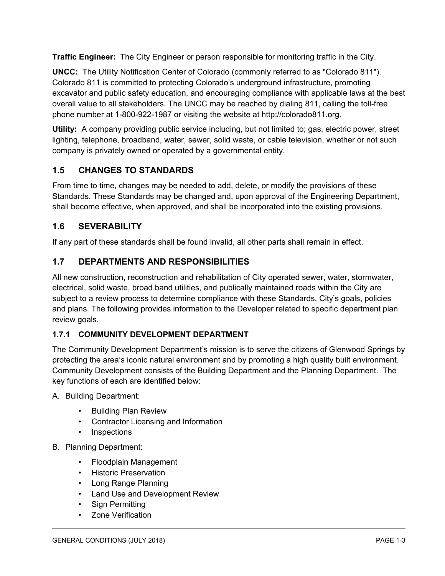**Traffic Engineer:** The City Engineer or person responsible for monitoring traffic in the City.

**UNCC:** The Utility Notification Center of Colorado (commonly referred to as "Colorado 811"). Colorado 811 is committed to protecting Colorado's underground infrastructure, promoting excavator and public safety education, and encouraging compliance with applicable laws at the best overall value to all stakeholders. The UNCC may be reached by dialing 811, calling the toll-free phone number at 1-800-922-1987 or visiting the website at http://colorado811.org.

**Utility:** A company providing public service including, but not limited to; gas, electric power, street lighting, telephone, broadband, water, sewer, solid waste, or cable television, whether or not such company is privately owned or operated by a governmental entity.

# <span id="page-4-0"></span>**1.5 CHANGES TO STANDARDS**

From time to time, changes may be needed to add, delete, or modify the provisions of these Standards. These Standards may be changed and, upon approval of the Engineering Department, shall become effective, when approved, and shall be incorporated into the existing provisions.

# <span id="page-4-1"></span>**1.6 SEVERABILITY**

If any part of these standards shall be found invalid, all other parts shall remain in effect.

# <span id="page-4-2"></span>**1.7 DEPARTMENTS AND RESPONSIBILITIES**

All new construction, reconstruction and rehabilitation of City operated sewer, water, stormwater, electrical, solid waste, broad band utilities, and publically maintained roads within the City are subject to a review process to determine compliance with these Standards, City's goals, policies and plans. The following provides information to the Developer related to specific department plan review goals.

## <span id="page-4-3"></span>**1.7.1 COMMUNITY DEVELOPMENT DEPARTMENT**

The Community Development Department's mission is to serve the citizens of Glenwood Springs by protecting the area's iconic natural environment and by promoting a high quality built environment. Community Development consists of the Building Department and the Planning Department. The key functions of each are identified below:

- A. Building Department:
	- Building Plan Review
	- Contractor Licensing and Information
	- Inspections
- B. Planning Department:
	- Floodplain Management
	- Historic Preservation
	- Long Range Planning
	- Land Use and Development Review
	- Sign Permitting
	- Zone Verification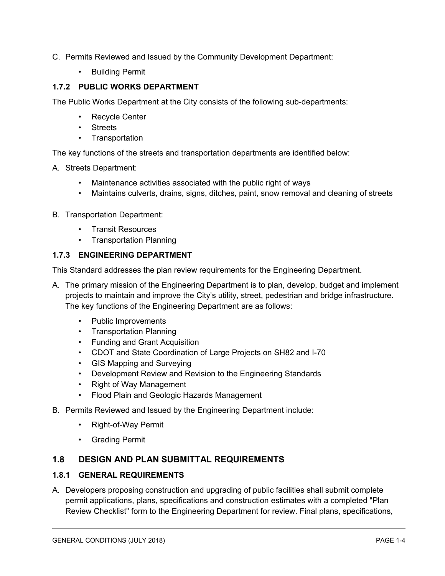- C. Permits Reviewed and Issued by the Community Development Department:
	- Building Permit

### <span id="page-5-0"></span>**1.7.2 PUBLIC WORKS DEPARTMENT**

The Public Works Department at the City consists of the following sub-departments:

- Recycle Center
- Streets
- Transportation

The key functions of the streets and transportation departments are identified below:

- A. Streets Department:
	- Maintenance activities associated with the public right of ways
	- Maintains culverts, drains, signs, ditches, paint, snow removal and cleaning of streets
- B. Transportation Department:
	- Transit Resources
	- Transportation Planning

### <span id="page-5-1"></span>**1.7.3 ENGINEERING DEPARTMENT**

This Standard addresses the plan review requirements for the Engineering Department.

- A. The primary mission of the Engineering Department is to plan, develop, budget and implement projects to maintain and improve the City's utility, street, pedestrian and bridge infrastructure. The key functions of the Engineering Department are as follows:
	- Public Improvements
	- Transportation Planning
	- Funding and Grant Acquisition
	- CDOT and State Coordination of Large Projects on SH82 and I-70
	- GIS Mapping and Surveying
	- Development Review and Revision to the Engineering Standards
	- Right of Way Management
	- Flood Plain and Geologic Hazards Management
- B. Permits Reviewed and Issued by the Engineering Department include:
	- Right-of-Way Permit
	- Grading Permit

### <span id="page-5-2"></span>**1.8 DESIGN AND PLAN SUBMITTAL REQUIREMENTS**

#### <span id="page-5-3"></span>**1.8.1 GENERAL REQUIREMENTS**

A. Developers proposing construction and upgrading of public facilities shall submit complete permit applications, plans, specifications and construction estimates with a completed "Plan Review Checklist" form to the Engineering Department for review. Final plans, specifications,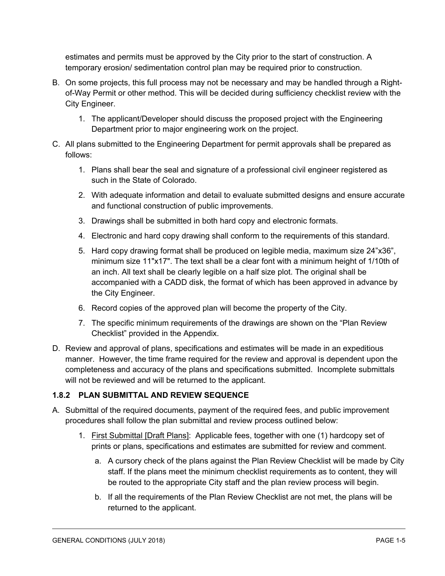estimates and permits must be approved by the City prior to the start of construction. A temporary erosion/ sedimentation control plan may be required prior to construction.

- B. On some projects, this full process may not be necessary and may be handled through a Rightof-Way Permit or other method. This will be decided during sufficiency checklist review with the City Engineer.
	- 1. The applicant/Developer should discuss the proposed project with the Engineering Department prior to major engineering work on the project.
- C. All plans submitted to the Engineering Department for permit approvals shall be prepared as follows:
	- 1. Plans shall bear the seal and signature of a professional civil engineer registered as such in the State of Colorado.
	- 2. With adequate information and detail to evaluate submitted designs and ensure accurate and functional construction of public improvements.
	- 3. Drawings shall be submitted in both hard copy and electronic formats.
	- 4. Electronic and hard copy drawing shall conform to the requirements of this standard.
	- 5. Hard copy drawing format shall be produced on legible media, maximum size 24"x36", minimum size 11"x17". The text shall be a clear font with a minimum height of 1/10th of an inch. All text shall be clearly legible on a half size plot. The original shall be accompanied with a CADD disk, the format of which has been approved in advance by the City Engineer.
	- 6. Record copies of the approved plan will become the property of the City.
	- 7. The specific minimum requirements of the drawings are shown on the "Plan Review Checklist" provided in the Appendix.
- D. Review and approval of plans, specifications and estimates will be made in an expeditious manner. However, the time frame required for the review and approval is dependent upon the completeness and accuracy of the plans and specifications submitted. Incomplete submittals will not be reviewed and will be returned to the applicant.

## <span id="page-6-0"></span>**1.8.2 PLAN SUBMITTAL AND REVIEW SEQUENCE**

- A. Submittal of the required documents, payment of the required fees, and public improvement procedures shall follow the plan submittal and review process outlined below:
	- 1. First Submittal [Draft Plans]: Applicable fees, together with one (1) hardcopy set of prints or plans, specifications and estimates are submitted for review and comment.
		- a. A cursory check of the plans against the Plan Review Checklist will be made by City staff. If the plans meet the minimum checklist requirements as to content, they will be routed to the appropriate City staff and the plan review process will begin.
		- b. If all the requirements of the Plan Review Checklist are not met, the plans will be returned to the applicant.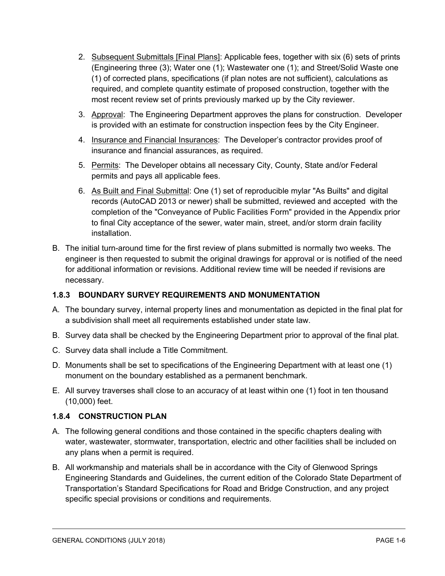- 2. Subsequent Submittals [Final Plans]: Applicable fees, together with six (6) sets of prints (Engineering three (3); Water one (1); Wastewater one (1); and Street/Solid Waste one (1) of corrected plans, specifications (if plan notes are not sufficient), calculations as required, and complete quantity estimate of proposed construction, together with the most recent review set of prints previously marked up by the City reviewer.
- 3. Approval: The Engineering Department approves the plans for construction. Developer is provided with an estimate for construction inspection fees by the City Engineer.
- 4. Insurance and Financial Insurances: The Developer's contractor provides proof of insurance and financial assurances, as required.
- 5. Permits: The Developer obtains all necessary City, County, State and/or Federal permits and pays all applicable fees.
- 6. As Built and Final Submittal: One (1) set of reproducible mylar "As Builts" and digital records (AutoCAD 2013 or newer) shall be submitted, reviewed and accepted with the completion of the "Conveyance of Public Facilities Form" provided in the Appendix prior to final City acceptance of the sewer, water main, street, and/or storm drain facility installation.
- B. The initial turn-around time for the first review of plans submitted is normally two weeks. The engineer is then requested to submit the original drawings for approval or is notified of the need for additional information or revisions. Additional review time will be needed if revisions are necessary.

### <span id="page-7-0"></span>**1.8.3 BOUNDARY SURVEY REQUIREMENTS AND MONUMENTATION**

- A. The boundary survey, internal property lines and monumentation as depicted in the final plat for a subdivision shall meet all requirements established under state law.
- B. Survey data shall be checked by the Engineering Department prior to approval of the final plat.
- C. Survey data shall include a Title Commitment.
- D. Monuments shall be set to specifications of the Engineering Department with at least one (1) monument on the boundary established as a permanent benchmark.
- E. All survey traverses shall close to an accuracy of at least within one (1) foot in ten thousand (10,000) feet.

### <span id="page-7-1"></span>**1.8.4 CONSTRUCTION PLAN**

- A. The following general conditions and those contained in the specific chapters dealing with water, wastewater, stormwater, transportation, electric and other facilities shall be included on any plans when a permit is required.
- B. All workmanship and materials shall be in accordance with the City of Glenwood Springs Engineering Standards and Guidelines, the current edition of the Colorado State Department of Transportation's Standard Specifications for Road and Bridge Construction, and any project specific special provisions or conditions and requirements.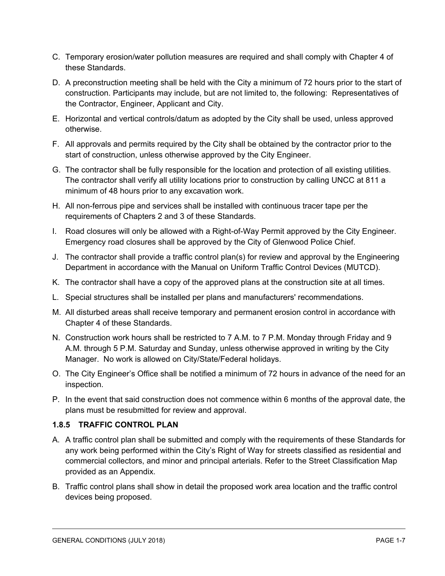- C. Temporary erosion/water pollution measures are required and shall comply with Chapter 4 of these Standards.
- D. A preconstruction meeting shall be held with the City a minimum of 72 hours prior to the start of construction. Participants may include, but are not limited to, the following: Representatives of the Contractor, Engineer, Applicant and City.
- E. Horizontal and vertical controls/datum as adopted by the City shall be used, unless approved otherwise.
- F. All approvals and permits required by the City shall be obtained by the contractor prior to the start of construction, unless otherwise approved by the City Engineer.
- G. The contractor shall be fully responsible for the location and protection of all existing utilities. The contractor shall verify all utility locations prior to construction by calling UNCC at 811 a minimum of 48 hours prior to any excavation work.
- H. All non-ferrous pipe and services shall be installed with continuous tracer tape per the requirements of Chapters 2 and 3 of these Standards.
- I. Road closures will only be allowed with a Right-of-Way Permit approved by the City Engineer. Emergency road closures shall be approved by the City of Glenwood Police Chief.
- J. The contractor shall provide a traffic control plan(s) for review and approval by the Engineering Department in accordance with the Manual on Uniform Traffic Control Devices (MUTCD).
- K. The contractor shall have a copy of the approved plans at the construction site at all times.
- L. Special structures shall be installed per plans and manufacturers' recommendations.
- M. All disturbed areas shall receive temporary and permanent erosion control in accordance with Chapter 4 of these Standards.
- N. Construction work hours shall be restricted to 7 A.M. to 7 P.M. Monday through Friday and 9 A.M. through 5 P.M. Saturday and Sunday, unless otherwise approved in writing by the City Manager. No work is allowed on City/State/Federal holidays.
- O. The City Engineer's Office shall be notified a minimum of 72 hours in advance of the need for an inspection.
- P. In the event that said construction does not commence within 6 months of the approval date, the plans must be resubmitted for review and approval.

### <span id="page-8-0"></span>**1.8.5 TRAFFIC CONTROL PLAN**

- A. A traffic control plan shall be submitted and comply with the requirements of these Standards for any work being performed within the City's Right of Way for streets classified as residential and commercial collectors, and minor and principal arterials. Refer to the Street Classification Map provided as an Appendix.
- B. Traffic control plans shall show in detail the proposed work area location and the traffic control devices being proposed.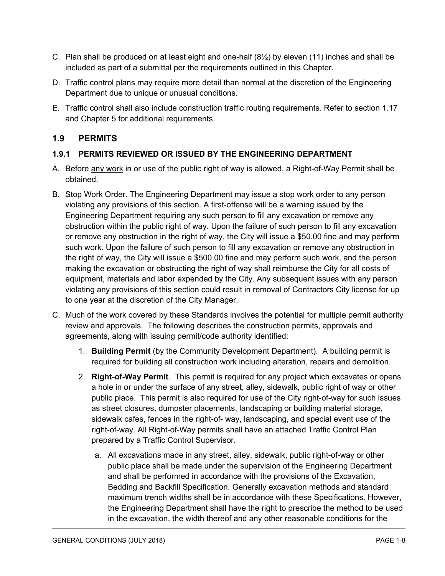- C. Plan shall be produced on at least eight and one-half  $(8\frac{1}{2})$  by eleven (11) inches and shall be included as part of a submittal per the requirements outlined in this Chapter.
- D. Traffic control plans may require more detail than normal at the discretion of the Engineering Department due to unique or unusual conditions.
- E. Traffic control shall also include construction traffic routing requirements. Refer to section 1.17 and Chapter 5 for additional requirements.

## <span id="page-9-0"></span>**1.9 PERMITS**

### <span id="page-9-1"></span>**1.9.1 PERMITS REVIEWED OR ISSUED BY THE ENGINEERING DEPARTMENT**

- A. Before any work in or use of the public right of way is allowed, a Right-of-Way Permit shall be obtained.
- B. Stop Work Order. The Engineering Department may issue a stop work order to any person violating any provisions of this section. A first-offense will be a warning issued by the Engineering Department requiring any such person to fill any excavation or remove any obstruction within the public right of way. Upon the failure of such person to fill any excavation or remove any obstruction in the right of way, the City will issue a \$50.00 fine and may perform such work. Upon the failure of such person to fill any excavation or remove any obstruction in the right of way, the City will issue a \$500.00 fine and may perform such work, and the person making the excavation or obstructing the right of way shall reimburse the City for all costs of equipment, materials and labor expended by the City. Any subsequent issues with any person violating any provisions of this section could result in removal of Contractors City license for up to one year at the discretion of the City Manager.
- C. Much of the work covered by these Standards involves the potential for multiple permit authority review and approvals. The following describes the construction permits, approvals and agreements, along with issuing permit/code authority identified:
	- 1. **Building Permit** (by the Community Development Department). A building permit is required for building all construction work including alteration, repairs and demolition.
	- 2. **Right-of-Way Permit**. This permit is required for any project which excavates or opens a hole in or under the surface of any street, alley, sidewalk, public right of way or other public place. This permit is also required for use of the City right-of-way for such issues as street closures, dumpster placements, landscaping or building material storage, sidewalk cafes, fences in the right-of- way, landscaping, and special event use of the right-of-way. All Right-of-Way permits shall have an attached Traffic Control Plan prepared by a Traffic Control Supervisor.
		- a. All excavations made in any street, alley, sidewalk, public right-of-way or other public place shall be made under the supervision of the Engineering Department and shall be performed in accordance with the provisions of the Excavation, Bedding and Backfill Specification. Generally excavation methods and standard maximum trench widths shall be in accordance with these Specifications. However, the Engineering Department shall have the right to prescribe the method to be used in the excavation, the width thereof and any other reasonable conditions for the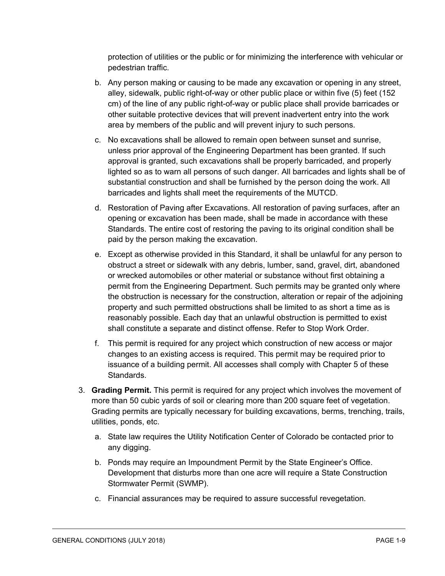protection of utilities or the public or for minimizing the interference with vehicular or pedestrian traffic.

- b. Any person making or causing to be made any excavation or opening in any street, alley, sidewalk, public right-of-way or other public place or within five (5) feet (152 cm) of the line of any public right-of-way or public place shall provide barricades or other suitable protective devices that will prevent inadvertent entry into the work area by members of the public and will prevent injury to such persons.
- c. No excavations shall be allowed to remain open between sunset and sunrise, unless prior approval of the Engineering Department has been granted. If such approval is granted, such excavations shall be properly barricaded, and properly lighted so as to warn all persons of such danger. All barricades and lights shall be of substantial construction and shall be furnished by the person doing the work. All barricades and lights shall meet the requirements of the MUTCD.
- d. Restoration of Paving after Excavations. All restoration of paving surfaces, after an opening or excavation has been made, shall be made in accordance with these Standards. The entire cost of restoring the paving to its original condition shall be paid by the person making the excavation.
- e. Except as otherwise provided in this Standard, it shall be unlawful for any person to obstruct a street or sidewalk with any debris, lumber, sand, gravel, dirt, abandoned or wrecked automobiles or other material or substance without first obtaining a permit from the Engineering Department. Such permits may be granted only where the obstruction is necessary for the construction, alteration or repair of the adjoining property and such permitted obstructions shall be limited to as short a time as is reasonably possible. Each day that an unlawful obstruction is permitted to exist shall constitute a separate and distinct offense. Refer to Stop Work Order.
- f. This permit is required for any project which construction of new access or major changes to an existing access is required. This permit may be required prior to issuance of a building permit. All accesses shall comply with Chapter 5 of these Standards.
- 3. **Grading Permit.** This permit is required for any project which involves the movement of more than 50 cubic yards of soil or clearing more than 200 square feet of vegetation. Grading permits are typically necessary for building excavations, berms, trenching, trails, utilities, ponds, etc.
	- a. State law requires the Utility Notification Center of Colorado be contacted prior to any digging.
	- b. Ponds may require an Impoundment Permit by the State Engineer's Office. Development that disturbs more than one acre will require a State Construction Stormwater Permit (SWMP).
	- c. Financial assurances may be required to assure successful revegetation.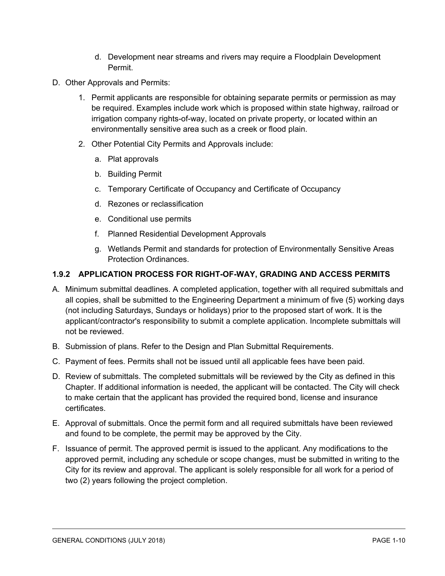- d. Development near streams and rivers may require a Floodplain Development Permit.
- D. Other Approvals and Permits:
	- 1. Permit applicants are responsible for obtaining separate permits or permission as may be required. Examples include work which is proposed within state highway, railroad or irrigation company rights-of-way, located on private property, or located within an environmentally sensitive area such as a creek or flood plain.
	- 2. Other Potential City Permits and Approvals include:
		- a. Plat approvals
		- b. Building Permit
		- c. Temporary Certificate of Occupancy and Certificate of Occupancy
		- d. Rezones or reclassification
		- e. Conditional use permits
		- f. Planned Residential Development Approvals
		- g. Wetlands Permit and standards for protection of Environmentally Sensitive Areas Protection Ordinances.

#### <span id="page-11-0"></span>**1.9.2 APPLICATION PROCESS FOR RIGHT-OF-WAY, GRADING AND ACCESS PERMITS**

- A. Minimum submittal deadlines. A completed application, together with all required submittals and all copies, shall be submitted to the Engineering Department a minimum of five (5) working days (not including Saturdays, Sundays or holidays) prior to the proposed start of work. It is the applicant/contractor's responsibility to submit a complete application. Incomplete submittals will not be reviewed.
- B. Submission of plans. Refer to the Design and Plan Submittal Requirements.
- C. Payment of fees. Permits shall not be issued until all applicable fees have been paid.
- D. Review of submittals. The completed submittals will be reviewed by the City as defined in this Chapter. If additional information is needed, the applicant will be contacted. The City will check to make certain that the applicant has provided the required bond, license and insurance certificates.
- E. Approval of submittals. Once the permit form and all required submittals have been reviewed and found to be complete, the permit may be approved by the City.
- F. Issuance of permit. The approved permit is issued to the applicant. Any modifications to the approved permit, including any schedule or scope changes, must be submitted in writing to the City for its review and approval. The applicant is solely responsible for all work for a period of two (2) years following the project completion.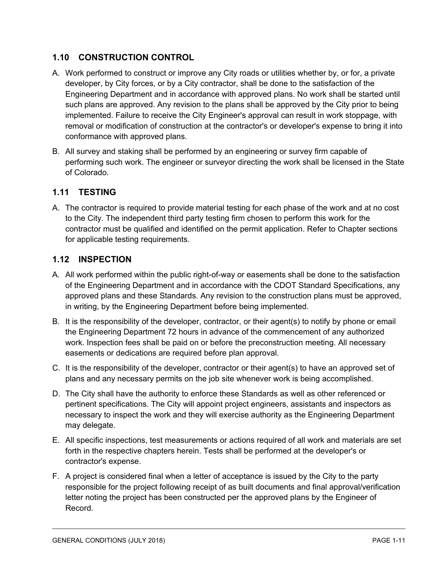## <span id="page-12-0"></span>**1.10 CONSTRUCTION CONTROL**

- A. Work performed to construct or improve any City roads or utilities whether by, or for, a private developer, by City forces, or by a City contractor, shall be done to the satisfaction of the Engineering Department and in accordance with approved plans. No work shall be started until such plans are approved. Any revision to the plans shall be approved by the City prior to being implemented. Failure to receive the City Engineer's approval can result in work stoppage, with removal or modification of construction at the contractor's or developer's expense to bring it into conformance with approved plans.
- B. All survey and staking shall be performed by an engineering or survey firm capable of performing such work. The engineer or surveyor directing the work shall be licensed in the State of Colorado.

## <span id="page-12-1"></span>**1.11 TESTING**

A. The contractor is required to provide material testing for each phase of the work and at no cost to the City. The independent third party testing firm chosen to perform this work for the contractor must be qualified and identified on the permit application. Refer to Chapter sections for applicable testing requirements.

## <span id="page-12-2"></span>**1.12 INSPECTION**

- A. All work performed within the public right-of-way or easements shall be done to the satisfaction of the Engineering Department and in accordance with the CDOT Standard Specifications, any approved plans and these Standards. Any revision to the construction plans must be approved, in writing, by the Engineering Department before being implemented.
- B. It is the responsibility of the developer, contractor, or their agent(s) to notify by phone or email the Engineering Department 72 hours in advance of the commencement of any authorized work. Inspection fees shall be paid on or before the preconstruction meeting. All necessary easements or dedications are required before plan approval.
- C. It is the responsibility of the developer, contractor or their agent(s) to have an approved set of plans and any necessary permits on the job site whenever work is being accomplished.
- D. The City shall have the authority to enforce these Standards as well as other referenced or pertinent specifications. The City will appoint project engineers, assistants and inspectors as necessary to inspect the work and they will exercise authority as the Engineering Department may delegate.
- E. All specific inspections, test measurements or actions required of all work and materials are set forth in the respective chapters herein. Tests shall be performed at the developer's or contractor's expense.
- F. A project is considered final when a letter of acceptance is issued by the City to the party responsible for the project following receipt of as built documents and final approval/verification letter noting the project has been constructed per the approved plans by the Engineer of Record.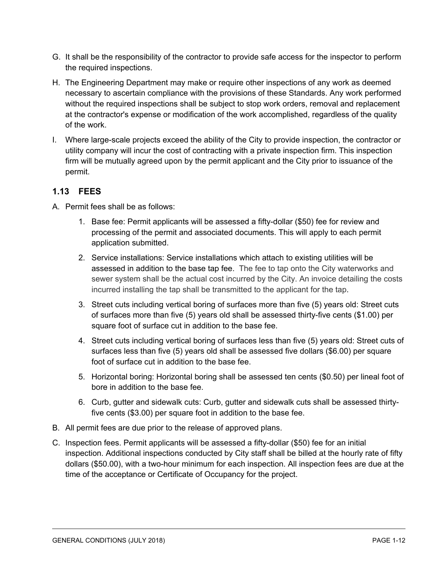- G. It shall be the responsibility of the contractor to provide safe access for the inspector to perform the required inspections.
- H. The Engineering Department may make or require other inspections of any work as deemed necessary to ascertain compliance with the provisions of these Standards. Any work performed without the required inspections shall be subject to stop work orders, removal and replacement at the contractor's expense or modification of the work accomplished, regardless of the quality of the work.
- I. Where large-scale projects exceed the ability of the City to provide inspection, the contractor or utility company will incur the cost of contracting with a private inspection firm. This inspection firm will be mutually agreed upon by the permit applicant and the City prior to issuance of the permit.

## <span id="page-13-0"></span>**1.13 FEES**

- A. Permit fees shall be as follows:
	- 1. Base fee: Permit applicants will be assessed a fifty-dollar (\$50) fee for review and processing of the permit and associated documents. This will apply to each permit application submitted.
	- 2. Service installations: Service installations which attach to existing utilities will be assessed in addition to the base tap fee. The fee to tap onto the City waterworks and sewer system shall be the actual cost incurred by the City. An invoice detailing the costs incurred installing the tap shall be transmitted to the applicant for the tap.
	- 3. Street cuts including vertical boring of surfaces more than five (5) years old: Street cuts of surfaces more than five (5) years old shall be assessed thirty-five cents (\$1.00) per square foot of surface cut in addition to the base fee.
	- 4. Street cuts including vertical boring of surfaces less than five (5) years old: Street cuts of surfaces less than five (5) years old shall be assessed five dollars (\$6.00) per square foot of surface cut in addition to the base fee.
	- 5. Horizontal boring: Horizontal boring shall be assessed ten cents (\$0.50) per lineal foot of bore in addition to the base fee.
	- 6. Curb, gutter and sidewalk cuts: Curb, gutter and sidewalk cuts shall be assessed thirtyfive cents (\$3.00) per square foot in addition to the base fee.
- B. All permit fees are due prior to the release of approved plans.
- C. Inspection fees. Permit applicants will be assessed a fifty-dollar (\$50) fee for an initial inspection. Additional inspections conducted by City staff shall be billed at the hourly rate of fifty dollars (\$50.00), with a two-hour minimum for each inspection. All inspection fees are due at the time of the acceptance or Certificate of Occupancy for the project.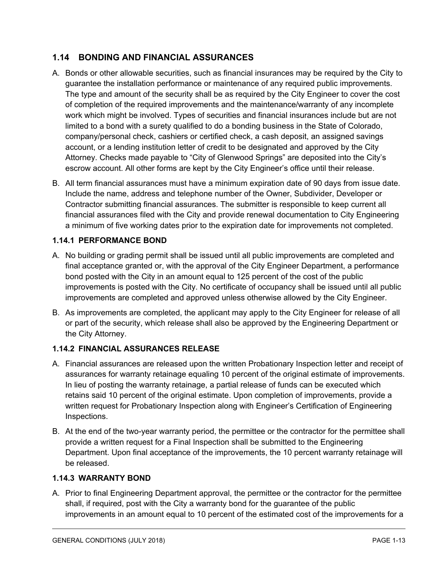## <span id="page-14-0"></span>**1.14 BONDING AND FINANCIAL ASSURANCES**

- A. Bonds or other allowable securities, such as financial insurances may be required by the City to guarantee the installation performance or maintenance of any required public improvements. The type and amount of the security shall be as required by the City Engineer to cover the cost of completion of the required improvements and the maintenance/warranty of any incomplete work which might be involved. Types of securities and financial insurances include but are not limited to a bond with a surety qualified to do a bonding business in the State of Colorado, company/personal check, cashiers or certified check, a cash deposit, an assigned savings account, or a lending institution letter of credit to be designated and approved by the City Attorney. Checks made payable to "City of Glenwood Springs" are deposited into the City's escrow account. All other forms are kept by the City Engineer's office until their release.
- B. All term financial assurances must have a minimum expiration date of 90 days from issue date. Include the name, address and telephone number of the Owner, Subdivider, Developer or Contractor submitting financial assurances. The submitter is responsible to keep current all financial assurances filed with the City and provide renewal documentation to City Engineering a minimum of five working dates prior to the expiration date for improvements not completed.

#### <span id="page-14-1"></span>**1.14.1 PERFORMANCE BOND**

- A. No building or grading permit shall be issued until all public improvements are completed and final acceptance granted or, with the approval of the City Engineer Department, a performance bond posted with the City in an amount equal to 125 percent of the cost of the public improvements is posted with the City. No certificate of occupancy shall be issued until all public improvements are completed and approved unless otherwise allowed by the City Engineer.
- B. As improvements are completed, the applicant may apply to the City Engineer for release of all or part of the security, which release shall also be approved by the Engineering Department or the City Attorney.

### <span id="page-14-2"></span>**1.14.2 FINANCIAL ASSURANCES RELEASE**

- A. Financial assurances are released upon the written Probationary Inspection letter and receipt of assurances for warranty retainage equaling 10 percent of the original estimate of improvements. In lieu of posting the warranty retainage, a partial release of funds can be executed which retains said 10 percent of the original estimate. Upon completion of improvements, provide a written request for Probationary Inspection along with Engineer's Certification of Engineering Inspections.
- B. At the end of the two-year warranty period, the permittee or the contractor for the permittee shall provide a written request for a Final Inspection shall be submitted to the Engineering Department. Upon final acceptance of the improvements, the 10 percent warranty retainage will be released.

#### <span id="page-14-3"></span>**1.14.3 WARRANTY BOND**

A. Prior to final Engineering Department approval, the permittee or the contractor for the permittee shall, if required, post with the City a warranty bond for the guarantee of the public improvements in an amount equal to 10 percent of the estimated cost of the improvements for a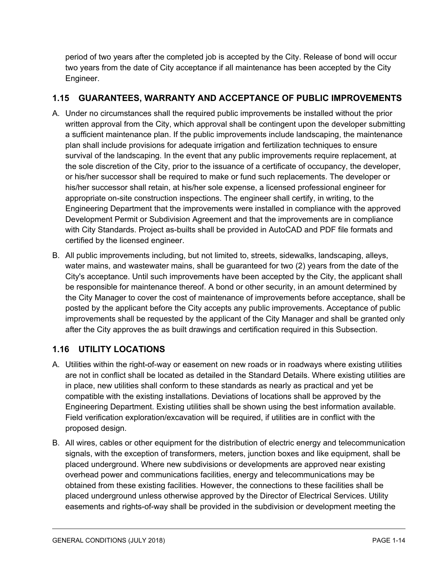period of two years after the completed job is accepted by the City. Release of bond will occur two years from the date of City acceptance if all maintenance has been accepted by the City Engineer.

# <span id="page-15-0"></span>**1.15 GUARANTEES, WARRANTY AND ACCEPTANCE OF PUBLIC IMPROVEMENTS**

- A. Under no circumstances shall the required public improvements be installed without the prior written approval from the City, which approval shall be contingent upon the developer submitting a sufficient maintenance plan. If the public improvements include landscaping, the maintenance plan shall include provisions for adequate irrigation and fertilization techniques to ensure survival of the landscaping. In the event that any public improvements require replacement, at the sole discretion of the City, prior to the issuance of a certificate of occupancy, the developer, or his/her successor shall be required to make or fund such replacements. The developer or his/her successor shall retain, at his/her sole expense, a licensed professional engineer for appropriate on-site construction inspections. The engineer shall certify, in writing, to the Engineering Department that the improvements were installed in compliance with the approved Development Permit or Subdivision Agreement and that the improvements are in compliance with City Standards. Project as-builts shall be provided in AutoCAD and PDF file formats and certified by the licensed engineer.
- B. All public improvements including, but not limited to, streets, sidewalks, landscaping, alleys, water mains, and wastewater mains, shall be guaranteed for two (2) years from the date of the City's acceptance. Until such improvements have been accepted by the City, the applicant shall be responsible for maintenance thereof. A bond or other security, in an amount determined by the City Manager to cover the cost of maintenance of improvements before acceptance, shall be posted by the applicant before the City accepts any public improvements. Acceptance of public improvements shall be requested by the applicant of the City Manager and shall be granted only after the City approves the as built drawings and certification required in this Subsection.

# <span id="page-15-1"></span>**1.16 UTILITY LOCATIONS**

- A. Utilities within the right-of-way or easement on new roads or in roadways where existing utilities are not in conflict shall be located as detailed in the Standard Details. Where existing utilities are in place, new utilities shall conform to these standards as nearly as practical and yet be compatible with the existing installations. Deviations of locations shall be approved by the Engineering Department. Existing utilities shall be shown using the best information available. Field verification exploration/excavation will be required, if utilities are in conflict with the proposed design.
- B. All wires, cables or other equipment for the distribution of electric energy and telecommunication signals, with the exception of transformers, meters, junction boxes and like equipment, shall be placed underground. Where new subdivisions or developments are approved near existing overhead power and communications facilities, energy and telecommunications may be obtained from these existing facilities. However, the connections to these facilities shall be placed underground unless otherwise approved by the Director of Electrical Services. Utility easements and rights-of-way shall be provided in the subdivision or development meeting the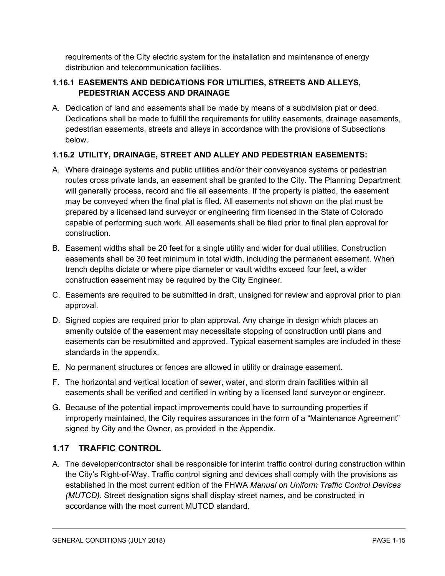requirements of the City electric system for the installation and maintenance of energy distribution and telecommunication facilities.

### <span id="page-16-0"></span>**1.16.1 EASEMENTS AND DEDICATIONS FOR UTILITIES, STREETS AND ALLEYS, PEDESTRIAN ACCESS AND DRAINAGE**

A. Dedication of land and easements shall be made by means of a subdivision plat or deed. Dedications shall be made to fulfill the requirements for utility easements, drainage easements, pedestrian easements, streets and alleys in accordance with the provisions of Subsections below.

## <span id="page-16-1"></span>**1.16.2 UTILITY, DRAINAGE, STREET AND ALLEY AND PEDESTRIAN EASEMENTS:**

- A. Where drainage systems and public utilities and/or their conveyance systems or pedestrian routes cross private lands, an easement shall be granted to the City. The Planning Department will generally process, record and file all easements. If the property is platted, the easement may be conveyed when the final plat is filed. All easements not shown on the plat must be prepared by a licensed land surveyor or engineering firm licensed in the State of Colorado capable of performing such work. All easements shall be filed prior to final plan approval for construction.
- B. Easement widths shall be 20 feet for a single utility and wider for dual utilities. Construction easements shall be 30 feet minimum in total width, including the permanent easement. When trench depths dictate or where pipe diameter or vault widths exceed four feet, a wider construction easement may be required by the City Engineer.
- C. Easements are required to be submitted in draft, unsigned for review and approval prior to plan approval.
- D. Signed copies are required prior to plan approval. Any change in design which places an amenity outside of the easement may necessitate stopping of construction until plans and easements can be resubmitted and approved. Typical easement samples are included in these standards in the appendix.
- E. No permanent structures or fences are allowed in utility or drainage easement.
- F. The horizontal and vertical location of sewer, water, and storm drain facilities within all easements shall be verified and certified in writing by a licensed land surveyor or engineer.
- G. Because of the potential impact improvements could have to surrounding properties if improperly maintained, the City requires assurances in the form of a "Maintenance Agreement" signed by City and the Owner, as provided in the Appendix.

## <span id="page-16-2"></span>**1.17 TRAFFIC CONTROL**

A. The developer/contractor shall be responsible for interim traffic control during construction within the City's Right-of-Way. Traffic control signing and devices shall comply with the provisions as established in the most current edition of the FHWA *Manual on Uniform Traffic Control Devices (MUTCD)*. Street designation signs shall display street names, and be constructed in accordance with the most current MUTCD standard.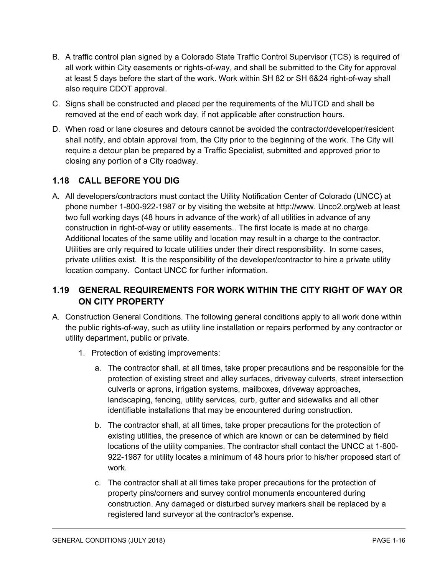- B. A traffic control plan signed by a Colorado State Traffic Control Supervisor (TCS) is required of all work within City easements or rights-of-way, and shall be submitted to the City for approval at least 5 days before the start of the work. Work within SH 82 or SH 6&24 right-of-way shall also require CDOT approval.
- C. Signs shall be constructed and placed per the requirements of the MUTCD and shall be removed at the end of each work day, if not applicable after construction hours.
- D. When road or lane closures and detours cannot be avoided the contractor/developer/resident shall notify, and obtain approval from, the City prior to the beginning of the work. The City will require a detour plan be prepared by a Traffic Specialist, submitted and approved prior to closing any portion of a City roadway.

# <span id="page-17-0"></span>**1.18 CALL BEFORE YOU DIG**

A. All developers/contractors must contact the Utility Notification Center of Colorado (UNCC) at phone number 1-800-922-1987 or by visiting the website at http://www. Unco2.org/web at least two full working days (48 hours in advance of the work) of all utilities in advance of any construction in right-of-way or utility easements.. The first locate is made at no charge. Additional locates of the same utility and location may result in a charge to the contractor. Utilities are only required to locate utilities under their direct responsibility. In some cases, private utilities exist. It is the responsibility of the developer/contractor to hire a private utility location company. Contact UNCC for further information.

# <span id="page-17-1"></span>**1.19 GENERAL REQUIREMENTS FOR WORK WITHIN THE CITY RIGHT OF WAY OR ON CITY PROPERTY**

- A. Construction General Conditions. The following general conditions apply to all work done within the public rights-of-way, such as utility line installation or repairs performed by any contractor or utility department, public or private.
	- 1. Protection of existing improvements:
		- a. The contractor shall, at all times, take proper precautions and be responsible for the protection of existing street and alley surfaces, driveway culverts, street intersection culverts or aprons, irrigation systems, mailboxes, driveway approaches, landscaping, fencing, utility services, curb, gutter and sidewalks and all other identifiable installations that may be encountered during construction.
		- b. The contractor shall, at all times, take proper precautions for the protection of existing utilities, the presence of which are known or can be determined by field locations of the utility companies. The contractor shall contact the UNCC at 1-800- 922-1987 for utility locates a minimum of 48 hours prior to his/her proposed start of work.
		- c. The contractor shall at all times take proper precautions for the protection of property pins/corners and survey control monuments encountered during construction. Any damaged or disturbed survey markers shall be replaced by a registered land surveyor at the contractor's expense.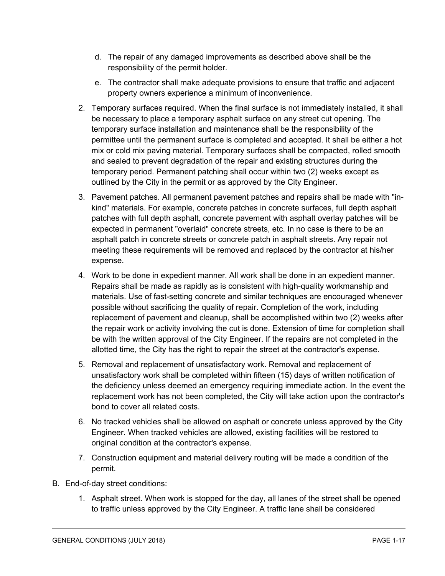- d. The repair of any damaged improvements as described above shall be the responsibility of the permit holder.
- e. The contractor shall make adequate provisions to ensure that traffic and adjacent property owners experience a minimum of inconvenience.
- 2. Temporary surfaces required. When the final surface is not immediately installed, it shall be necessary to place a temporary asphalt surface on any street cut opening. The temporary surface installation and maintenance shall be the responsibility of the permittee until the permanent surface is completed and accepted. It shall be either a hot mix or cold mix paving material. Temporary surfaces shall be compacted, rolled smooth and sealed to prevent degradation of the repair and existing structures during the temporary period. Permanent patching shall occur within two (2) weeks except as outlined by the City in the permit or as approved by the City Engineer.
- 3. Pavement patches. All permanent pavement patches and repairs shall be made with "inkind" materials. For example, concrete patches in concrete surfaces, full depth asphalt patches with full depth asphalt, concrete pavement with asphalt overlay patches will be expected in permanent "overlaid" concrete streets, etc. In no case is there to be an asphalt patch in concrete streets or concrete patch in asphalt streets. Any repair not meeting these requirements will be removed and replaced by the contractor at his/her expense.
- 4. Work to be done in expedient manner. All work shall be done in an expedient manner. Repairs shall be made as rapidly as is consistent with high-quality workmanship and materials. Use of fast-setting concrete and similar techniques are encouraged whenever possible without sacrificing the quality of repair. Completion of the work, including replacement of pavement and cleanup, shall be accomplished within two (2) weeks after the repair work or activity involving the cut is done. Extension of time for completion shall be with the written approval of the City Engineer. If the repairs are not completed in the allotted time, the City has the right to repair the street at the contractor's expense.
- 5. Removal and replacement of unsatisfactory work. Removal and replacement of unsatisfactory work shall be completed within fifteen (15) days of written notification of the deficiency unless deemed an emergency requiring immediate action. In the event the replacement work has not been completed, the City will take action upon the contractor's bond to cover all related costs.
- 6. No tracked vehicles shall be allowed on asphalt or concrete unless approved by the City Engineer. When tracked vehicles are allowed, existing facilities will be restored to original condition at the contractor's expense.
- 7. Construction equipment and material delivery routing will be made a condition of the permit.
- B. End-of-day street conditions:
	- 1. Asphalt street. When work is stopped for the day, all lanes of the street shall be opened to traffic unless approved by the City Engineer. A traffic lane shall be considered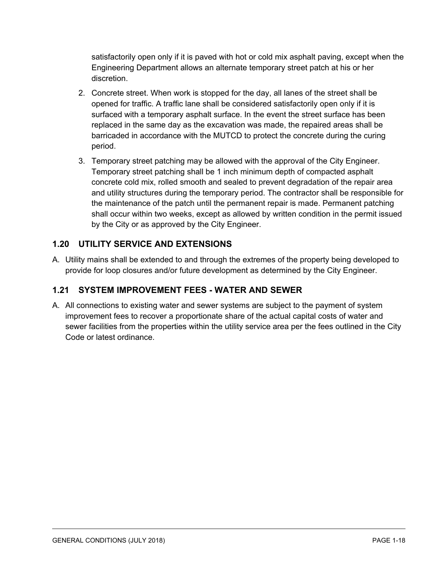satisfactorily open only if it is paved with hot or cold mix asphalt paving, except when the Engineering Department allows an alternate temporary street patch at his or her discretion.

- 2. Concrete street. When work is stopped for the day, all lanes of the street shall be opened for traffic. A traffic lane shall be considered satisfactorily open only if it is surfaced with a temporary asphalt surface. In the event the street surface has been replaced in the same day as the excavation was made, the repaired areas shall be barricaded in accordance with the MUTCD to protect the concrete during the curing period.
- 3. Temporary street patching may be allowed with the approval of the City Engineer. Temporary street patching shall be 1 inch minimum depth of compacted asphalt concrete cold mix, rolled smooth and sealed to prevent degradation of the repair area and utility structures during the temporary period. The contractor shall be responsible for the maintenance of the patch until the permanent repair is made. Permanent patching shall occur within two weeks, except as allowed by written condition in the permit issued by the City or as approved by the City Engineer.

# <span id="page-19-0"></span>**1.20 UTILITY SERVICE AND EXTENSIONS**

A. Utility mains shall be extended to and through the extremes of the property being developed to provide for loop closures and/or future development as determined by the City Engineer.

# <span id="page-19-1"></span>**1.21 SYSTEM IMPROVEMENT FEES - WATER AND SEWER**

A. All connections to existing water and sewer systems are subject to the payment of system improvement fees to recover a proportionate share of the actual capital costs of water and sewer facilities from the properties within the utility service area per the fees outlined in the City Code or latest ordinance.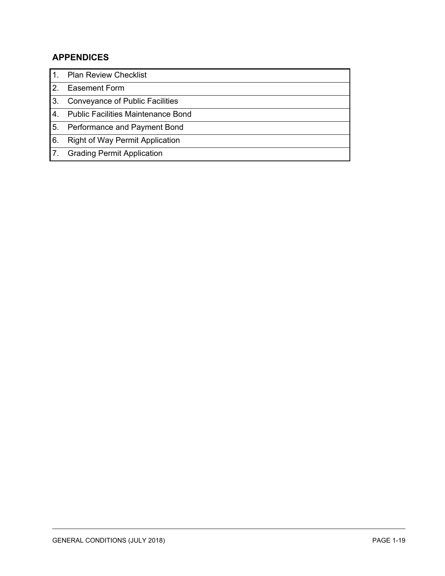# <span id="page-20-0"></span>**APPENDICES**

| <b>Plan Review Checklist</b>              |
|-------------------------------------------|
| <b>Easement Form</b>                      |
| <b>Conveyance of Public Facilities</b>    |
| <b>Public Facilities Maintenance Bond</b> |
| Performance and Payment Bond              |
| <b>Right of Way Permit Application</b>    |
| <b>Grading Permit Application</b>         |
|                                           |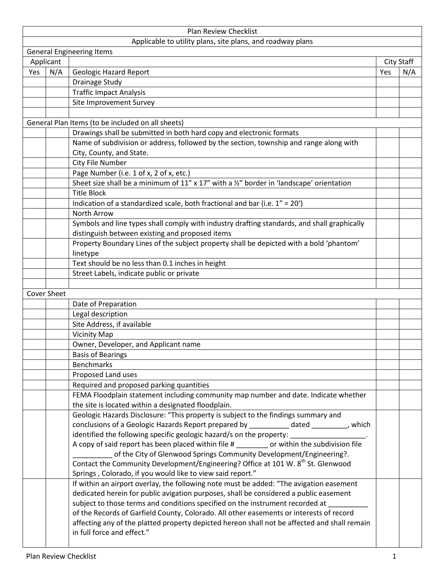| Plan Review Checklist |                                |                                                                                                     |     |     |  |  |  |
|-----------------------|--------------------------------|-----------------------------------------------------------------------------------------------------|-----|-----|--|--|--|
|                       |                                | Applicable to utility plans, site plans, and roadway plans                                          |     |     |  |  |  |
|                       |                                | <b>General Engineering Items</b>                                                                    |     |     |  |  |  |
|                       | Applicant<br><b>City Staff</b> |                                                                                                     |     |     |  |  |  |
| Yes                   | N/A                            | <b>Geologic Hazard Report</b>                                                                       | Yes | N/A |  |  |  |
|                       |                                | <b>Drainage Study</b>                                                                               |     |     |  |  |  |
|                       |                                | <b>Traffic Impact Analysis</b>                                                                      |     |     |  |  |  |
|                       |                                | Site Improvement Survey                                                                             |     |     |  |  |  |
|                       |                                |                                                                                                     |     |     |  |  |  |
|                       |                                | General Plan Items (to be included on all sheets)                                                   |     |     |  |  |  |
|                       |                                | Drawings shall be submitted in both hard copy and electronic formats                                |     |     |  |  |  |
|                       |                                | Name of subdivision or address, followed by the section, township and range along with              |     |     |  |  |  |
|                       |                                | City, County, and State.                                                                            |     |     |  |  |  |
|                       |                                | City File Number                                                                                    |     |     |  |  |  |
|                       |                                | Page Number (i.e. 1 of x, 2 of x, etc.)                                                             |     |     |  |  |  |
|                       |                                | Sheet size shall be a minimum of 11" x 17" with a $\frac{1}{2}$ " border in 'landscape' orientation |     |     |  |  |  |
|                       |                                | <b>Title Block</b>                                                                                  |     |     |  |  |  |
|                       |                                | Indication of a standardized scale, both fractional and bar (i.e. 1" = 20')                         |     |     |  |  |  |
|                       |                                | North Arrow                                                                                         |     |     |  |  |  |
|                       |                                |                                                                                                     |     |     |  |  |  |
|                       |                                | Symbols and line types shall comply with industry drafting standards, and shall graphically         |     |     |  |  |  |
|                       |                                | distinguish between existing and proposed items                                                     |     |     |  |  |  |
|                       |                                | Property Boundary Lines of the subject property shall be depicted with a bold 'phantom'             |     |     |  |  |  |
|                       |                                | linetype                                                                                            |     |     |  |  |  |
|                       |                                | Text should be no less than 0.1 inches in height                                                    |     |     |  |  |  |
|                       |                                | Street Labels, indicate public or private                                                           |     |     |  |  |  |
|                       |                                |                                                                                                     |     |     |  |  |  |
|                       | <b>Cover Sheet</b>             |                                                                                                     |     |     |  |  |  |
|                       |                                | Date of Preparation                                                                                 |     |     |  |  |  |
|                       |                                | Legal description                                                                                   |     |     |  |  |  |
|                       |                                | Site Address, if available                                                                          |     |     |  |  |  |
|                       |                                | <b>Vicinity Map</b>                                                                                 |     |     |  |  |  |
|                       |                                | Owner, Developer, and Applicant name                                                                |     |     |  |  |  |
|                       |                                | <b>Basis of Bearings</b>                                                                            |     |     |  |  |  |
|                       |                                | <b>Benchmarks</b>                                                                                   |     |     |  |  |  |
|                       |                                | Proposed Land uses                                                                                  |     |     |  |  |  |
|                       |                                | Required and proposed parking quantities                                                            |     |     |  |  |  |
|                       |                                | FEMA Floodplain statement including community map number and date. Indicate whether                 |     |     |  |  |  |
|                       |                                | the site is located within a designated floodplain.                                                 |     |     |  |  |  |
|                       |                                | Geologic Hazards Disclosure: "This property is subject to the findings summary and                  |     |     |  |  |  |
|                       |                                | conclusions of a Geologic Hazards Report prepared by ___________ dated _________, which             |     |     |  |  |  |
|                       |                                | identified the following specific geologic hazard/s on the property: __________________.            |     |     |  |  |  |
|                       |                                | A copy of said report has been placed within file # _______ or within the subdivision file          |     |     |  |  |  |
|                       |                                | of the City of Glenwood Springs Community Development/Engineering?.                                 |     |     |  |  |  |
|                       |                                | Contact the Community Development/Engineering? Office at 101 W. 8 <sup>th</sup> St. Glenwood        |     |     |  |  |  |
|                       |                                | Springs, Colorado, if you would like to view said report."                                          |     |     |  |  |  |
|                       |                                | If within an airport overlay, the following note must be added: "The avigation easement             |     |     |  |  |  |
|                       |                                | dedicated herein for public avigation purposes, shall be considered a public easement               |     |     |  |  |  |
|                       |                                | subject to those terms and conditions specified on the instrument recorded at                       |     |     |  |  |  |
|                       |                                | of the Records of Garfield County, Colorado. All other easements or interests of record             |     |     |  |  |  |
|                       |                                | affecting any of the platted property depicted hereon shall not be affected and shall remain        |     |     |  |  |  |
|                       |                                | in full force and effect."                                                                          |     |     |  |  |  |
|                       |                                |                                                                                                     |     |     |  |  |  |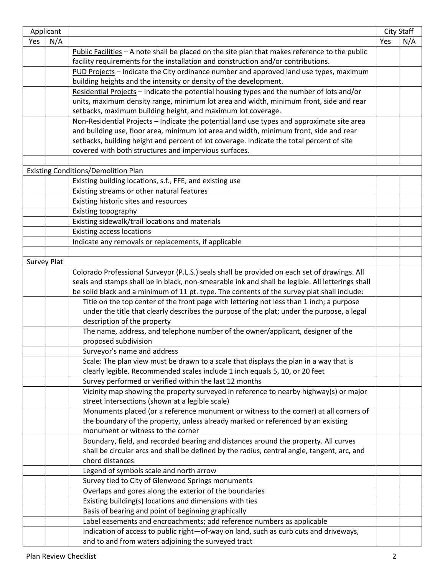| Applicant |                    |                                                                                                                               |     | <b>City Staff</b> |  |  |
|-----------|--------------------|-------------------------------------------------------------------------------------------------------------------------------|-----|-------------------|--|--|
| Yes       | N/A                |                                                                                                                               | Yes | N/A               |  |  |
|           |                    | Public Facilities $-$ A note shall be placed on the site plan that makes reference to the public                              |     |                   |  |  |
|           |                    | facility requirements for the installation and construction and/or contributions.                                             |     |                   |  |  |
|           |                    | PUD Projects - Indicate the City ordinance number and approved land use types, maximum                                        |     |                   |  |  |
|           |                    | building heights and the intensity or density of the development.                                                             |     |                   |  |  |
|           |                    | Residential Projects - Indicate the potential housing types and the number of lots and/or                                     |     |                   |  |  |
|           |                    | units, maximum density range, minimum lot area and width, minimum front, side and rear                                        |     |                   |  |  |
|           |                    | setbacks, maximum building height, and maximum lot coverage.                                                                  |     |                   |  |  |
|           |                    | Non-Residential Projects - Indicate the potential land use types and approximate site area                                    |     |                   |  |  |
|           |                    | and building use, floor area, minimum lot area and width, minimum front, side and rear                                        |     |                   |  |  |
|           |                    | setbacks, building height and percent of lot coverage. Indicate the total percent of site                                     |     |                   |  |  |
|           |                    | covered with both structures and impervious surfaces.                                                                         |     |                   |  |  |
|           |                    |                                                                                                                               |     |                   |  |  |
|           |                    | <b>Existing Conditions/Demolition Plan</b>                                                                                    |     |                   |  |  |
|           |                    | Existing building locations, s.f., FFE, and existing use                                                                      |     |                   |  |  |
|           |                    | Existing streams or other natural features                                                                                    |     |                   |  |  |
|           |                    | Existing historic sites and resources                                                                                         |     |                   |  |  |
|           |                    | Existing topography                                                                                                           |     |                   |  |  |
|           |                    | Existing sidewalk/trail locations and materials                                                                               |     |                   |  |  |
|           |                    | <b>Existing access locations</b>                                                                                              |     |                   |  |  |
|           |                    | Indicate any removals or replacements, if applicable                                                                          |     |                   |  |  |
|           |                    |                                                                                                                               |     |                   |  |  |
|           | <b>Survey Plat</b> |                                                                                                                               |     |                   |  |  |
|           |                    | Colorado Professional Surveyor (P.L.S.) seals shall be provided on each set of drawings. All                                  |     |                   |  |  |
|           |                    | seals and stamps shall be in black, non-smearable ink and shall be legible. All letterings shall                              |     |                   |  |  |
|           |                    | be solid black and a minimum of 11 pt. type. The contents of the survey plat shall include:                                   |     |                   |  |  |
|           |                    | Title on the top center of the front page with lettering not less than 1 inch; a purpose                                      |     |                   |  |  |
|           |                    | under the title that clearly describes the purpose of the plat; under the purpose, a legal                                    |     |                   |  |  |
|           |                    | description of the property                                                                                                   |     |                   |  |  |
|           |                    | The name, address, and telephone number of the owner/applicant, designer of the                                               |     |                   |  |  |
|           |                    | proposed subdivision                                                                                                          |     |                   |  |  |
|           |                    | Surveyor's name and address                                                                                                   |     |                   |  |  |
|           |                    | Scale: The plan view must be drawn to a scale that displays the plan in a way that is                                         |     |                   |  |  |
|           |                    | clearly legible. Recommended scales include 1 inch equals 5, 10, or 20 feet                                                   |     |                   |  |  |
|           |                    | Survey performed or verified within the last 12 months                                                                        |     |                   |  |  |
|           |                    | Vicinity map showing the property surveyed in reference to nearby highway(s) or major                                         |     |                   |  |  |
|           |                    | street intersections (shown at a legible scale)                                                                               |     |                   |  |  |
|           |                    | Monuments placed (or a reference monument or witness to the corner) at all corners of                                         |     |                   |  |  |
|           |                    | the boundary of the property, unless already marked or referenced by an existing                                              |     |                   |  |  |
|           |                    | monument or witness to the corner                                                                                             |     |                   |  |  |
|           |                    | Boundary, field, and recorded bearing and distances around the property. All curves                                           |     |                   |  |  |
|           |                    | shall be circular arcs and shall be defined by the radius, central angle, tangent, arc, and                                   |     |                   |  |  |
|           |                    | chord distances                                                                                                               |     |                   |  |  |
|           |                    | Legend of symbols scale and north arrow                                                                                       |     |                   |  |  |
|           |                    | Survey tied to City of Glenwood Springs monuments                                                                             |     |                   |  |  |
|           |                    | Overlaps and gores along the exterior of the boundaries                                                                       |     |                   |  |  |
|           |                    | Existing building(s) locations and dimensions with ties                                                                       |     |                   |  |  |
|           |                    |                                                                                                                               |     |                   |  |  |
|           |                    | Basis of bearing and point of beginning graphically<br>Label easements and encroachments; add reference numbers as applicable |     |                   |  |  |
|           |                    | Indication of access to public right-of-way on land, such as curb cuts and driveways,                                         |     |                   |  |  |
|           |                    | and to and from waters adjoining the surveyed tract                                                                           |     |                   |  |  |
|           |                    |                                                                                                                               |     |                   |  |  |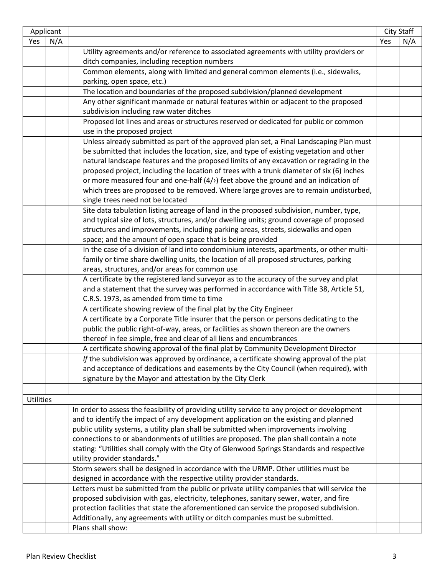|                  | Applicant |                                                                                               |     | City Staff |
|------------------|-----------|-----------------------------------------------------------------------------------------------|-----|------------|
| Yes              | N/A       |                                                                                               | Yes | N/A        |
|                  |           | Utility agreements and/or reference to associated agreements with utility providers or        |     |            |
|                  |           | ditch companies, including reception numbers                                                  |     |            |
|                  |           | Common elements, along with limited and general common elements (i.e., sidewalks,             |     |            |
|                  |           | parking, open space, etc.)                                                                    |     |            |
|                  |           | The location and boundaries of the proposed subdivision/planned development                   |     |            |
|                  |           | Any other significant manmade or natural features within or adjacent to the proposed          |     |            |
|                  |           | subdivision including raw water ditches                                                       |     |            |
|                  |           | Proposed lot lines and areas or structures reserved or dedicated for public or common         |     |            |
|                  |           | use in the proposed project                                                                   |     |            |
|                  |           | Unless already submitted as part of the approved plan set, a Final Landscaping Plan must      |     |            |
|                  |           | be submitted that includes the location, size, and type of existing vegetation and other      |     |            |
|                  |           | natural landscape features and the proposed limits of any excavation or regrading in the      |     |            |
|                  |           | proposed project, including the location of trees with a trunk diameter of six (6) inches     |     |            |
|                  |           | or more measured four and one-half $(4/$ ) feet above the ground and an indication of         |     |            |
|                  |           | which trees are proposed to be removed. Where large groves are to remain undisturbed,         |     |            |
|                  |           | single trees need not be located                                                              |     |            |
|                  |           | Site data tabulation listing acreage of land in the proposed subdivision, number, type,       |     |            |
|                  |           | and typical size of lots, structures, and/or dwelling units; ground coverage of proposed      |     |            |
|                  |           | structures and improvements, including parking areas, streets, sidewalks and open             |     |            |
|                  |           | space; and the amount of open space that is being provided                                    |     |            |
|                  |           | In the case of a division of land into condominium interests, apartments, or other multi-     |     |            |
|                  |           | family or time share dwelling units, the location of all proposed structures, parking         |     |            |
|                  |           | areas, structures, and/or areas for common use                                                |     |            |
|                  |           | A certificate by the registered land surveyor as to the accuracy of the survey and plat       |     |            |
|                  |           | and a statement that the survey was performed in accordance with Title 38, Article 51,        |     |            |
|                  |           | C.R.S. 1973, as amended from time to time                                                     |     |            |
|                  |           | A certificate showing review of the final plat by the City Engineer                           |     |            |
|                  |           | A certificate by a Corporate Title insurer that the person or persons dedicating to the       |     |            |
|                  |           | public the public right-of-way, areas, or facilities as shown thereon are the owners          |     |            |
|                  |           | thereof in fee simple, free and clear of all liens and encumbrances                           |     |            |
|                  |           | A certificate showing approval of the final plat by Community Development Director            |     |            |
|                  |           | If the subdivision was approved by ordinance, a certificate showing approval of the plat      |     |            |
|                  |           | and acceptance of dedications and easements by the City Council (when required), with         |     |            |
|                  |           | signature by the Mayor and attestation by the City Clerk                                      |     |            |
|                  |           |                                                                                               |     |            |
| <b>Utilities</b> |           |                                                                                               |     |            |
|                  |           | In order to assess the feasibility of providing utility service to any project or development |     |            |
|                  |           | and to identify the impact of any development application on the existing and planned         |     |            |
|                  |           | public utility systems, a utility plan shall be submitted when improvements involving         |     |            |
|                  |           | connections to or abandonments of utilities are proposed. The plan shall contain a note       |     |            |
|                  |           | stating: "Utilities shall comply with the City of Glenwood Springs Standards and respective   |     |            |
|                  |           | utility provider standards."                                                                  |     |            |
|                  |           | Storm sewers shall be designed in accordance with the URMP. Other utilities must be           |     |            |
|                  |           | designed in accordance with the respective utility provider standards.                        |     |            |
|                  |           | Letters must be submitted from the public or private utility companies that will service the  |     |            |
|                  |           | proposed subdivision with gas, electricity, telephones, sanitary sewer, water, and fire       |     |            |
|                  |           | protection facilities that state the aforementioned can service the proposed subdivision.     |     |            |
|                  |           | Additionally, any agreements with utility or ditch companies must be submitted.               |     |            |
|                  |           | Plans shall show:                                                                             |     |            |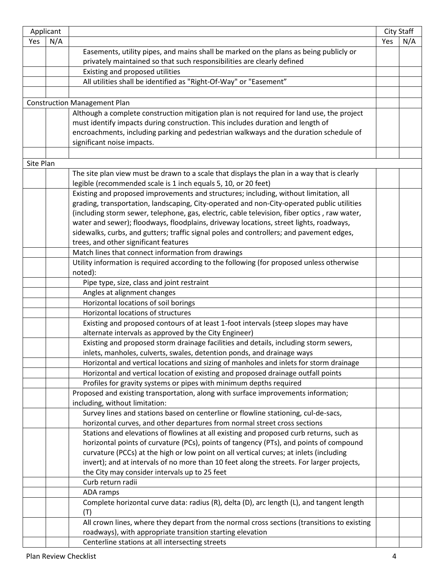| Applicant |     |                                                                                              |     | City Staff |
|-----------|-----|----------------------------------------------------------------------------------------------|-----|------------|
| Yes       | N/A |                                                                                              | Yes | N/A        |
|           |     | Easements, utility pipes, and mains shall be marked on the plans as being publicly or        |     |            |
|           |     | privately maintained so that such responsibilities are clearly defined                       |     |            |
|           |     | Existing and proposed utilities                                                              |     |            |
|           |     | All utilities shall be identified as "Right-Of-Way" or "Easement"                            |     |            |
|           |     |                                                                                              |     |            |
|           |     | <b>Construction Management Plan</b>                                                          |     |            |
|           |     | Although a complete construction mitigation plan is not required for land use, the project   |     |            |
|           |     | must identify impacts during construction. This includes duration and length of              |     |            |
|           |     | encroachments, including parking and pedestrian walkways and the duration schedule of        |     |            |
|           |     | significant noise impacts.                                                                   |     |            |
|           |     |                                                                                              |     |            |
| Site Plan |     |                                                                                              |     |            |
|           |     | The site plan view must be drawn to a scale that displays the plan in a way that is clearly  |     |            |
|           |     | legible (recommended scale is 1 inch equals 5, 10, or 20 feet)                               |     |            |
|           |     | Existing and proposed improvements and structures; including, without limitation, all        |     |            |
|           |     | grading, transportation, landscaping, City-operated and non-City-operated public utilities   |     |            |
|           |     | (including storm sewer, telephone, gas, electric, cable television, fiber optics, raw water, |     |            |
|           |     | water and sewer); floodways, floodplains, driveway locations, street lights, roadways,       |     |            |
|           |     | sidewalks, curbs, and gutters; traffic signal poles and controllers; and pavement edges,     |     |            |
|           |     | trees, and other significant features                                                        |     |            |
|           |     | Match lines that connect information from drawings                                           |     |            |
|           |     | Utility information is required according to the following (for proposed unless otherwise    |     |            |
|           |     | noted):                                                                                      |     |            |
|           |     | Pipe type, size, class and joint restraint                                                   |     |            |
|           |     | Angles at alignment changes                                                                  |     |            |
|           |     | Horizontal locations of soil borings                                                         |     |            |
|           |     | Horizontal locations of structures                                                           |     |            |
|           |     | Existing and proposed contours of at least 1-foot intervals (steep slopes may have           |     |            |
|           |     | alternate intervals as approved by the City Engineer)                                        |     |            |
|           |     | Existing and proposed storm drainage facilities and details, including storm sewers,         |     |            |
|           |     | inlets, manholes, culverts, swales, detention ponds, and drainage ways                       |     |            |
|           |     | Horizontal and vertical locations and sizing of manholes and inlets for storm drainage       |     |            |
|           |     | Horizontal and vertical location of existing and proposed drainage outfall points            |     |            |
|           |     | Profiles for gravity systems or pipes with minimum depths required                           |     |            |
|           |     | Proposed and existing transportation, along with surface improvements information;           |     |            |
|           |     | including, without limitation:                                                               |     |            |
|           |     | Survey lines and stations based on centerline or flowline stationing, cul-de-sacs,           |     |            |
|           |     | horizontal curves, and other departures from normal street cross sections                    |     |            |
|           |     | Stations and elevations of flowlines at all existing and proposed curb returns, such as      |     |            |
|           |     | horizontal points of curvature (PCs), points of tangency (PTs), and points of compound       |     |            |
|           |     | curvature (PCCs) at the high or low point on all vertical curves; at inlets (including       |     |            |
|           |     | invert); and at intervals of no more than 10 feet along the streets. For larger projects,    |     |            |
|           |     | the City may consider intervals up to 25 feet                                                |     |            |
|           |     | Curb return radii                                                                            |     |            |
|           |     | ADA ramps                                                                                    |     |            |
|           |     | Complete horizontal curve data: radius (R), delta (D), arc length (L), and tangent length    |     |            |
|           |     | (T)                                                                                          |     |            |
|           |     | All crown lines, where they depart from the normal cross sections (transitions to existing   |     |            |
|           |     | roadways), with appropriate transition starting elevation                                    |     |            |
|           |     | Centerline stations at all intersecting streets                                              |     |            |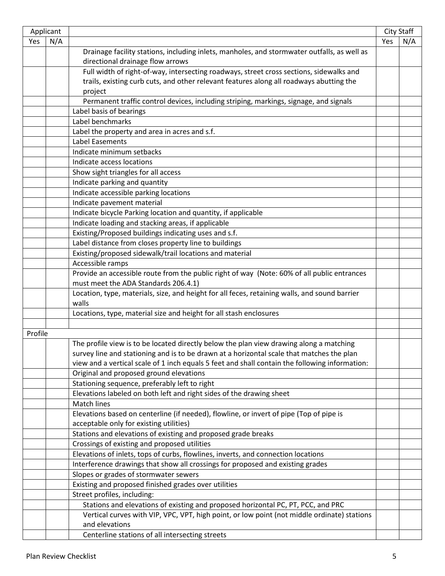|         | Applicant |                                                                                                |     | <b>City Staff</b> |
|---------|-----------|------------------------------------------------------------------------------------------------|-----|-------------------|
| Yes     | N/A       |                                                                                                | Yes | N/A               |
|         |           | Drainage facility stations, including inlets, manholes, and stormwater outfalls, as well as    |     |                   |
|         |           | directional drainage flow arrows                                                               |     |                   |
|         |           | Full width of right-of-way, intersecting roadways, street cross sections, sidewalks and        |     |                   |
|         |           | trails, existing curb cuts, and other relevant features along all roadways abutting the        |     |                   |
|         |           | project                                                                                        |     |                   |
|         |           | Permanent traffic control devices, including striping, markings, signage, and signals          |     |                   |
|         |           | Label basis of bearings                                                                        |     |                   |
|         |           | Label benchmarks                                                                               |     |                   |
|         |           | Label the property and area in acres and s.f.                                                  |     |                   |
|         |           | <b>Label Easements</b>                                                                         |     |                   |
|         |           | Indicate minimum setbacks                                                                      |     |                   |
|         |           | Indicate access locations                                                                      |     |                   |
|         |           | Show sight triangles for all access                                                            |     |                   |
|         |           | Indicate parking and quantity                                                                  |     |                   |
|         |           | Indicate accessible parking locations                                                          |     |                   |
|         |           | Indicate pavement material                                                                     |     |                   |
|         |           | Indicate bicycle Parking location and quantity, if applicable                                  |     |                   |
|         |           | Indicate loading and stacking areas, if applicable                                             |     |                   |
|         |           | Existing/Proposed buildings indicating uses and s.f.                                           |     |                   |
|         |           | Label distance from closes property line to buildings                                          |     |                   |
|         |           | Existing/proposed sidewalk/trail locations and material                                        |     |                   |
|         |           | Accessible ramps                                                                               |     |                   |
|         |           | Provide an accessible route from the public right of way (Note: 60% of all public entrances    |     |                   |
|         |           | must meet the ADA Standards 206.4.1)                                                           |     |                   |
|         |           | Location, type, materials, size, and height for all feces, retaining walls, and sound barrier  |     |                   |
|         |           | walls<br>Locations, type, material size and height for all stash enclosures                    |     |                   |
|         |           |                                                                                                |     |                   |
| Profile |           |                                                                                                |     |                   |
|         |           | The profile view is to be located directly below the plan view drawing along a matching        |     |                   |
|         |           | survey line and stationing and is to be drawn at a horizontal scale that matches the plan      |     |                   |
|         |           | view and a vertical scale of 1 inch equals 5 feet and shall contain the following information: |     |                   |
|         |           | Original and proposed ground elevations                                                        |     |                   |
|         |           | Stationing sequence, preferably left to right                                                  |     |                   |
|         |           | Elevations labeled on both left and right sides of the drawing sheet                           |     |                   |
|         |           | <b>Match lines</b>                                                                             |     |                   |
|         |           | Elevations based on centerline (if needed), flowline, or invert of pipe (Top of pipe is        |     |                   |
|         |           | acceptable only for existing utilities)                                                        |     |                   |
|         |           | Stations and elevations of existing and proposed grade breaks                                  |     |                   |
|         |           | Crossings of existing and proposed utilities                                                   |     |                   |
|         |           | Elevations of inlets, tops of curbs, flowlines, inverts, and connection locations              |     |                   |
|         |           | Interference drawings that show all crossings for proposed and existing grades                 |     |                   |
|         |           | Slopes or grades of stormwater sewers                                                          |     |                   |
|         |           | Existing and proposed finished grades over utilities                                           |     |                   |
|         |           | Street profiles, including:                                                                    |     |                   |
|         |           | Stations and elevations of existing and proposed horizontal PC, PT, PCC, and PRC               |     |                   |
|         |           | Vertical curves with VIP, VPC, VPT, high point, or low point (not middle ordinate) stations    |     |                   |
|         |           | and elevations                                                                                 |     |                   |
|         |           | Centerline stations of all intersecting streets                                                |     |                   |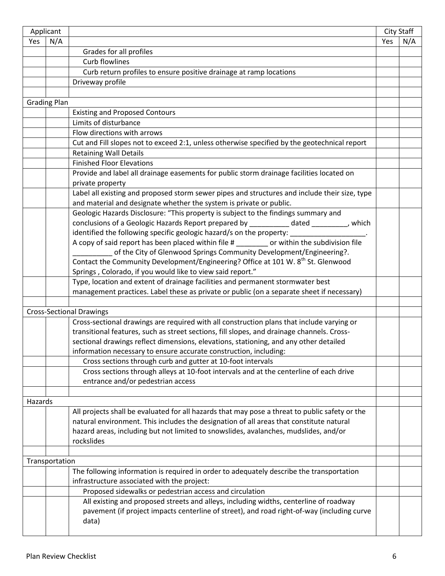| Applicant |                     |                                                                                                |     | City Staff |
|-----------|---------------------|------------------------------------------------------------------------------------------------|-----|------------|
| Yes       | N/A                 |                                                                                                | Yes | N/A        |
|           |                     | Grades for all profiles                                                                        |     |            |
|           |                     | <b>Curb flowlines</b>                                                                          |     |            |
|           |                     | Curb return profiles to ensure positive drainage at ramp locations                             |     |            |
|           |                     | Driveway profile                                                                               |     |            |
|           |                     |                                                                                                |     |            |
|           | <b>Grading Plan</b> |                                                                                                |     |            |
|           |                     | <b>Existing and Proposed Contours</b>                                                          |     |            |
|           |                     | Limits of disturbance                                                                          |     |            |
|           |                     | Flow directions with arrows                                                                    |     |            |
|           |                     | Cut and Fill slopes not to exceed 2:1, unless otherwise specified by the geotechnical report   |     |            |
|           |                     | <b>Retaining Wall Details</b>                                                                  |     |            |
|           |                     | <b>Finished Floor Elevations</b>                                                               |     |            |
|           |                     | Provide and label all drainage easements for public storm drainage facilities located on       |     |            |
|           |                     | private property                                                                               |     |            |
|           |                     | Label all existing and proposed storm sewer pipes and structures and include their size, type  |     |            |
|           |                     | and material and designate whether the system is private or public.                            |     |            |
|           |                     | Geologic Hazards Disclosure: "This property is subject to the findings summary and             |     |            |
|           |                     | conclusions of a Geologic Hazards Report prepared by ___________ dated ________, which         |     |            |
|           |                     | identified the following specific geologic hazard/s on the property: __________________.       |     |            |
|           |                     | A copy of said report has been placed within file # _______ or within the subdivision file     |     |            |
|           |                     | of the City of Glenwood Springs Community Development/Engineering?.                            |     |            |
|           |                     | Contact the Community Development/Engineering? Office at 101 W. 8 <sup>th</sup> St. Glenwood   |     |            |
|           |                     | Springs, Colorado, if you would like to view said report."                                     |     |            |
|           |                     | Type, location and extent of drainage facilities and permanent stormwater best                 |     |            |
|           |                     | management practices. Label these as private or public (on a separate sheet if necessary)      |     |            |
|           |                     |                                                                                                |     |            |
|           |                     | <b>Cross-Sectional Drawings</b>                                                                |     |            |
|           |                     | Cross-sectional drawings are required with all construction plans that include varying or      |     |            |
|           |                     | transitional features, such as street sections, fill slopes, and drainage channels. Cross-     |     |            |
|           |                     | sectional drawings reflect dimensions, elevations, stationing, and any other detailed          |     |            |
|           |                     | information necessary to ensure accurate construction, including:                              |     |            |
|           |                     | Cross sections through curb and gutter at 10-foot intervals                                    |     |            |
|           |                     | Cross sections through alleys at 10-foot intervals and at the centerline of each drive         |     |            |
|           |                     | entrance and/or pedestrian access                                                              |     |            |
|           |                     |                                                                                                |     |            |
| Hazards   |                     |                                                                                                |     |            |
|           |                     | All projects shall be evaluated for all hazards that may pose a threat to public safety or the |     |            |
|           |                     | natural environment. This includes the designation of all areas that constitute natural        |     |            |
|           |                     | hazard areas, including but not limited to snowslides, avalanches, mudslides, and/or           |     |            |
|           |                     | rockslides                                                                                     |     |            |
|           |                     |                                                                                                |     |            |
|           |                     |                                                                                                |     |            |
|           | Transportation      |                                                                                                |     |            |
|           |                     | The following information is required in order to adequately describe the transportation       |     |            |
|           |                     | infrastructure associated with the project:                                                    |     |            |
|           |                     | Proposed sidewalks or pedestrian access and circulation                                        |     |            |
|           |                     | All existing and proposed streets and alleys, including widths, centerline of roadway          |     |            |
|           |                     | pavement (if project impacts centerline of street), and road right-of-way (including curve     |     |            |
|           |                     | data)                                                                                          |     |            |
|           |                     |                                                                                                |     |            |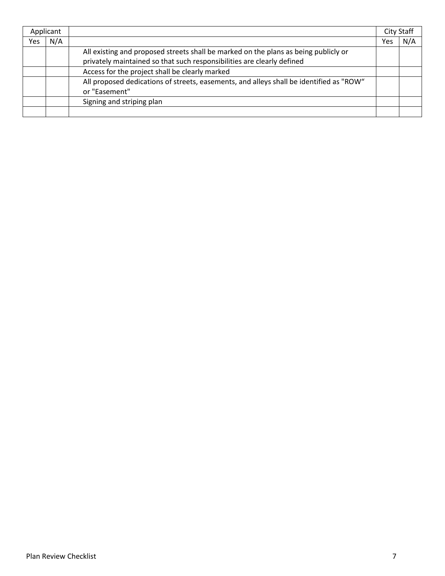| Applicant |     |                                                                                         |     | <b>City Staff</b> |
|-----------|-----|-----------------------------------------------------------------------------------------|-----|-------------------|
| Yes       | N/A |                                                                                         | Yes | N/A               |
|           |     | All existing and proposed streets shall be marked on the plans as being publicly or     |     |                   |
|           |     | privately maintained so that such responsibilities are clearly defined                  |     |                   |
|           |     | Access for the project shall be clearly marked                                          |     |                   |
|           |     | All proposed dedications of streets, easements, and alleys shall be identified as "ROW" |     |                   |
|           |     | or "Easement"                                                                           |     |                   |
|           |     | Signing and striping plan                                                               |     |                   |
|           |     |                                                                                         |     |                   |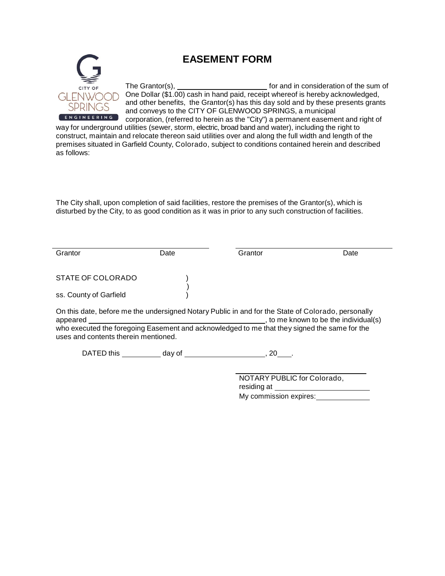

# **EASEMENT FORM**

The Grantor(s), The Grantor(s), For and in consideration of the sum of One Dollar (\$1.00) cash in hand paid, receipt whereof is hereby acknowledged, and other benefits, the Grantor(s) has this day sold and by these presents grants and conveys to the CITY OF GLENWOOD SPRINGS, a municipal corporation, (referred to herein as the "City") a permanent easement and right of

way for underground utilities (sewer, storm, electric, broad band and water), including the right to construct, maintain and relocate thereon said utilities over and along the full width and length of the premises situated in Garfield County, Colorado, subject to conditions contained herein and described as follows:

The City shall, upon completion of said facilities, restore the premises of the Grantor(s), which is disturbed by the City, to as good condition as it was in prior to any such construction of facilities.

| Grantor                                                                                            | Date | Grantor | Date                                |
|----------------------------------------------------------------------------------------------------|------|---------|-------------------------------------|
|                                                                                                    |      |         |                                     |
| STATE OF COLORADO                                                                                  |      |         |                                     |
| ss. County of Garfield                                                                             |      |         |                                     |
| On this date, before me the undersigned Notary Public in and for the State of Colorado, personally |      |         |                                     |
| appeared                                                                                           |      |         | to me known to be the individual(s) |
| who executed the foregoing Easement and acknowledged to me that they signed the same for the       |      |         |                                     |

uses and contents therein mentioned.

DATED this  $\_\_\_\_\_\_\$  day of  $\_\_\_\_\_\_\_\_\_\_\_\_\,$ , 20  $\_\_\_\_\.\$ 

NOTARY PUBLIC for Colorado, residing at My commission expires: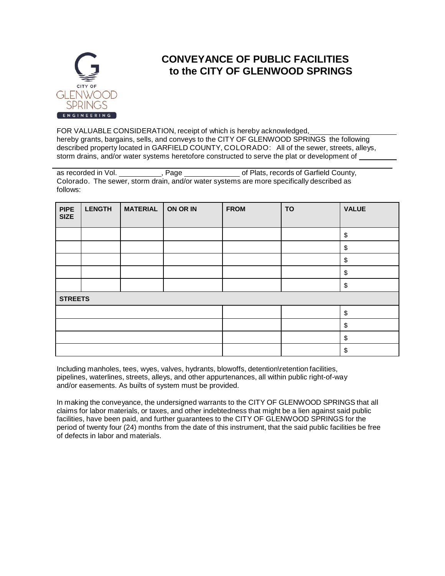

# **CONVEYANCE OF PUBLIC FACILITIES to the CITY OF GLENWOOD SPRINGS**

FOR VALUABLE CONSIDERATION, receipt of which is hereby acknowledged, hereby grants, bargains, sells, and conveys to the CITY OF GLENWOOD SPRINGS the following described property located in GARFIELD COUNTY, COLORADO: All of the sewer, streets, alleys, storm drains, and/or water systems heretofore constructed to serve the plat or development of

as recorded in Vol. **Fage** of Plats, records of Garfield County, Colorado. The sewer, storm drain, and/or water systems are more specifically described as follows:

| <b>PIPE</b><br><b>SIZE</b> | <b>LENGTH</b> | <b>MATERIAL</b> | ON OR IN | <b>FROM</b> | <b>TO</b> | <b>VALUE</b>  |
|----------------------------|---------------|-----------------|----------|-------------|-----------|---------------|
|                            |               |                 |          |             |           |               |
|                            |               |                 |          |             |           | \$            |
|                            |               |                 |          |             |           | \$            |
|                            |               |                 |          |             |           | \$            |
|                            |               |                 |          |             |           | \$            |
|                            |               |                 |          |             |           | $\frac{1}{2}$ |
| <b>STREETS</b>             |               |                 |          |             |           |               |
|                            |               |                 |          |             |           | \$            |
|                            |               |                 |          |             |           | \$            |
|                            |               |                 |          |             |           | \$            |
|                            |               |                 |          |             |           | \$            |

Including manholes, tees, wyes, valves, hydrants, blowoffs, detention\retention facilities, pipelines, waterlines, streets, alleys, and other appurtenances, all within public right-of-way and/or easements. As builts of system must be provided.

In making the conveyance, the undersigned warrants to the CITY OF GLENWOOD SPRINGS that all claims for labor materials, or taxes, and other indebtedness that might be a lien against said public facilities, have been paid, and further guarantees to the CITY OF GLENWOOD SPRINGS for the period of twenty four (24) months from the date of this instrument, that the said public facilities be free of defects in labor and materials.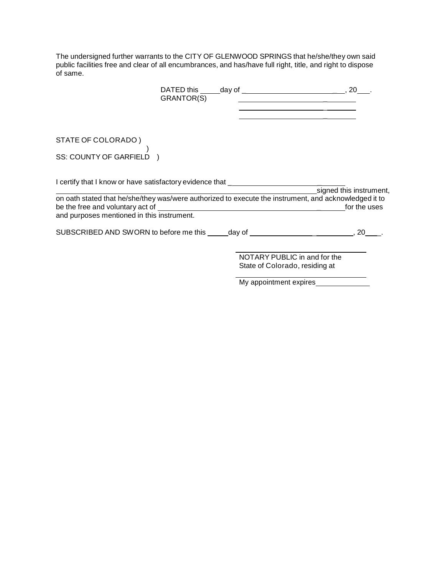The undersigned further warrants to the CITY OF GLENWOOD SPRINGS that he/she/they own said public facilities free and clear of all encumbrances, and has/have full right, title, and right to dispose of same.

| GRANTOR(S)                                                                                            | <u> 1980 - Johann Barn, mars ann an t-Amhain Aonaich an t-Aonaich an t-Aonaich ann an t-Aonaich ann an t-Aonaich</u> |                         |
|-------------------------------------------------------------------------------------------------------|----------------------------------------------------------------------------------------------------------------------|-------------------------|
|                                                                                                       | <u> 1989 - Johann Stone, Amerikaansk politiker (</u>                                                                 |                         |
|                                                                                                       |                                                                                                                      |                         |
| STATE OF COLORADO)                                                                                    |                                                                                                                      |                         |
| SS: COUNTY OF GARFIELD )                                                                              |                                                                                                                      |                         |
| I certify that I know or have satisfactory evidence that _______________________                      |                                                                                                                      |                         |
| on oath stated that he/she/they was/were authorized to execute the instrument, and acknowledged it to |                                                                                                                      | signed this instrument, |
|                                                                                                       |                                                                                                                      | for the uses            |
| and purposes mentioned in this instrument.                                                            |                                                                                                                      |                         |
| SUBSCRIBED AND SWORN to before me this ______day of _____________________________, 20                 |                                                                                                                      |                         |
|                                                                                                       | NOTARY PUBLIC in and for the                                                                                         |                         |
|                                                                                                       | State of Colorado, residing at                                                                                       |                         |

My appointment expires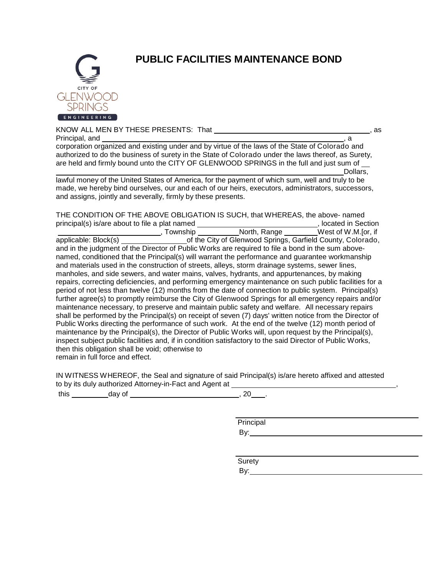

# **PUBLIC FACILITIES MAINTENANCE BOND**

KNOW ALL MEN BY THESE PRESENTS: That  $\sim$ , as Principal, and corporation organized and existing under and by virtue of the laws of the State of Colorado and authorized to do the business of surety in the State of Colorado under the laws thereof, as Surety, are held and firmly bound unto the CITY OF GLENWOOD SPRINGS in the full and just sum of  $\overline{\phantom{a}}$ Dollars,

lawful money of the United States of America, for the payment of which sum, well and truly to be made, we hereby bind ourselves, our and each of our heirs, executors, administrators, successors, and assigns, jointly and severally, firmly by these presents.

THE CONDITION OF THE ABOVE OBLIGATION IS SUCH, that WHEREAS, the above- named principal(s) is/are about to file a plat named \_\_\_\_\_\_\_\_\_\_\_\_\_\_\_\_\_\_\_\_\_\_\_\_\_\_\_\_\_\_\_\_\_, located in Section , Township \_\_\_\_\_\_\_\_\_\_\_North, Range \_\_\_\_\_\_\_\_West of W.M.[or, if applicable: Block(s) \_\_\_\_\_\_\_\_\_\_\_\_\_\_\_\_\_\_\_\_\_\_\_\_of the City of Glenwood Springs, Garfield County, Colorado, and in the judgment of the Director of Public Works are required to file a bond in the sum abovenamed, conditioned that the Principal(s) will warrant the performance and guarantee workmanship and materials used in the construction of streets, alleys, storm drainage systems, sewer lines, manholes, and side sewers, and water mains, valves, hydrants, and appurtenances, by making repairs, correcting deficiencies, and performing emergency maintenance on such public facilities for a period of not less than twelve (12) months from the date of connection to public system. Principal(s) further agree(s) to promptly reimburse the City of Glenwood Springs for all emergency repairs and/or maintenance necessary, to preserve and maintain public safety and welfare. All necessary repairs shall be performed by the Principal(s) on receipt of seven (7) days' written notice from the Director of Public Works directing the performance of such work. At the end of the twelve (12) month period of maintenance by the Principal(s), the Director of Public Works will, upon request by the Principal(s), inspect subject public facilities and, if in condition satisfactory to the said Director of Public Works, then this obligation shall be void; otherwise to remain in full force and effect.

IN WITNESS WHEREOF, the Seal and signature of said Principal(s) is/are hereto affixed and attested to by its duly authorized Attorney-in-Fact and Agent at \_

this day of this case of the contract of the contract of the contract of the contract of the contract of the contract of the contract of the contract of the contract of the contract of the contract of the contract of the c

Principal

 $By:$ 

Surety

By: